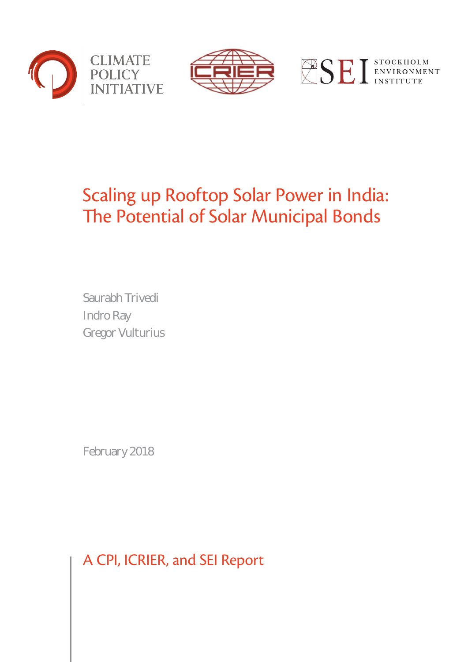





# Scaling up Rooftop Solar Power in India: The Potential of Solar Municipal Bonds

Saurabh Trivedi Indro Ray Gregor Vulturius

February 2018

A CPI, ICRIER, and SEI Report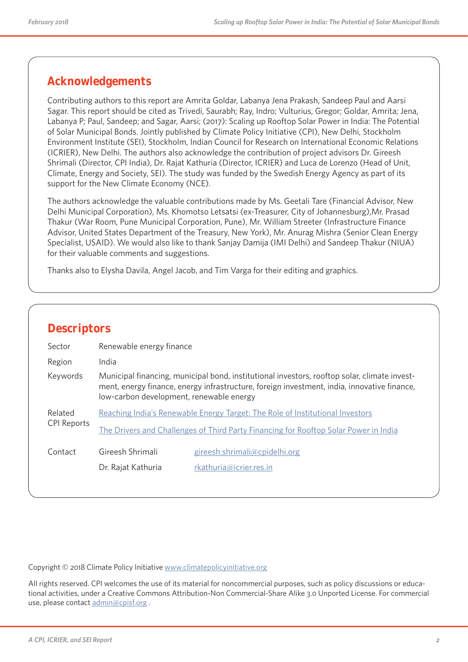## **Acknowledgements**

Contributing authors to this report are Amrita Goldar, Labanya Jena Prakash, Sandeep Paul and Aarsi Sagar. This report should be cited as Trivedi, Saurabh; Ray, Indro; Vulturius, Gregor; Goldar, Amrita; Jena, Labanya P; Paul, Sandeep; and Sagar, Aarsi; (2017): Scaling up Rooftop Solar Power in India: The Potential of Solar Municipal Bonds. Jointly published by Climate Policy Initiative (CPI), New Delhi, Stockholm Environment Institute (SEI), Stockholm, Indian Council for Research on International Economic Relations (ICRIER), New Delhi. The authors also acknowledge the contribution of project advisors Dr. Gireesh Shrimali (Director, CPI India), Dr. Rajat Kathuria (Director, ICRIER) and Luca de Lorenzo (Head of Unit, Climate, Energy and Society, SEI). The study was funded by the Swedish Energy Agency as part of its support for the New Climate Economy (NCE).

The authors acknowledge the valuable contributions made by Ms. Geetali Tare (Financial Advisor, New Delhi Municipal Corporation), Ms. Khomotso Letsatsi (ex-Treasurer, City of Johannesburg),Mr. Prasad Thakur (War Room, Pune Municipal Corporation, Pune), Mr. William Streeter (Infrastructure Finance Advisor, United States Department of the Treasury, New York), Mr. Anurag Mishra (Senior Clean Energy Specialist, USAID). We would also like to thank Sanjay Damija (IMI Delhi) and Sandeep Thakur (NIUA) for their valuable comments and suggestions.

Thanks also to Elysha Davila, Angel Jacob, and Tim Varga for their editing and graphics.

| Sector             | Renewable energy finance                                                                                                                                                                                                                |
|--------------------|-----------------------------------------------------------------------------------------------------------------------------------------------------------------------------------------------------------------------------------------|
| Region             | India                                                                                                                                                                                                                                   |
| Keywords           | Municipal financing, municipal bond, institutional investors, rooftop solar, climate invest-<br>ment, energy finance, energy infrastructure, foreign investment, india, innovative finance,<br>low-carbon development, renewable energy |
| Related            | Reaching India's Renewable Energy Target: The Role of Institutional Investors                                                                                                                                                           |
| <b>CPI Reports</b> | The Drivers and Challenges of Third Party Financing for Rooftop Solar Power in India                                                                                                                                                    |
| Contact            | Gireesh Shrimali<br>gireesh.shrimali@cpidelhi.org                                                                                                                                                                                       |
|                    | Dr. Rajat Kathuria<br>rkathuria@icrier.res.in                                                                                                                                                                                           |

Copyright © 2018 Climate Policy Initiative www.climatepolicyinitiative.org

All rights reserved. CPI welcomes the use of its material for noncommercial purposes, such as policy discussions or educational activities, under a Creative Commons Attribution-Non Commercial-Share Alike 3.0 Unported License. For commercial use, please contact admin@cpisf.org.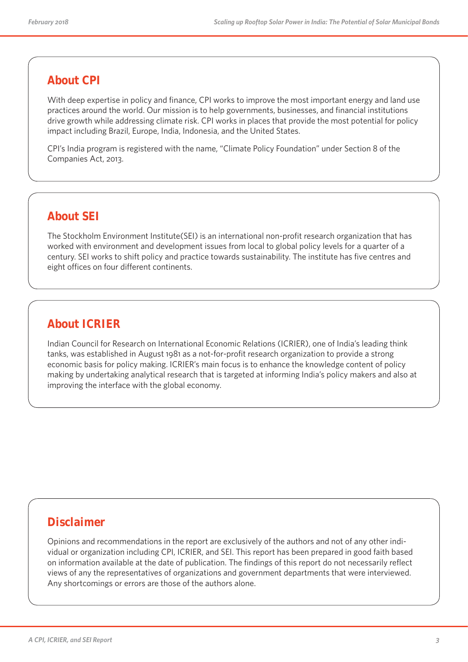## **About CPI**

With deep expertise in policy and finance, CPI works to improve the most important energy and land use practices around the world. Our mission is to help governments, businesses, and financial institutions drive growth while addressing climate risk. CPI works in places that provide the most potential for policy impact including Brazil, Europe, India, Indonesia, and the United States.

CPI's India program is registered with the name, "Climate Policy Foundation" under Section 8 of the Companies Act, 2013.

## **About SEI**

The Stockholm Environment Institute(SEI) is an international non-profit research organization that has worked with environment and development issues from local to global policy levels for a quarter of a century. SEI works to shift policy and practice towards sustainability. The institute has five centres and eight offices on four different continents.

## **About ICRIER**

Indian Council for Research on International Economic Relations (ICRIER), one of India's leading think tanks, was established in August 1981 as a not-for-profit research organization to provide a strong economic basis for policy making. ICRIER's main focus is to enhance the knowledge content of policy making by undertaking analytical research that is targeted at informing India's policy makers and also at improving the interface with the global economy.

## **Disclaimer**

Opinions and recommendations in the report are exclusively of the authors and not of any other individual or organization including CPI, ICRIER, and SEI. This report has been prepared in good faith based on information available at the date of publication. The findings of this report do not necessarily reflect views of any the representatives of organizations and government departments that were interviewed. Any shortcomings or errors are those of the authors alone.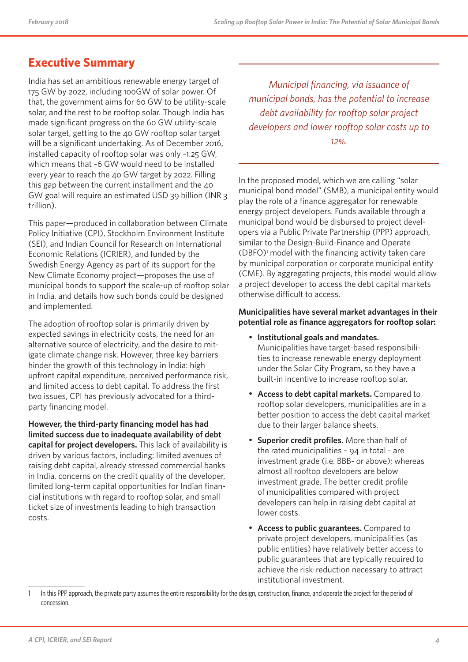## **Executive Summary**

India has set an ambitious renewable energy target of 175 GW by 2022, including 100GW of solar power. Of that, the government aims for 60 GW to be utility-scale solar, and the rest to be rooftop solar. Though India has made significant progress on the 60 GW utility-scale solar target, getting to the 40 GW rooftop solar target will be a significant undertaking. As of December 2016, installed capacity of rooftop solar was only ~1.25 GW, which means that ~6 GW would need to be installed every year to reach the 40 GW target by 2022. Filling this gap between the current installment and the 40 GW goal will require an estimated USD 39 billion (INR 3 trillion).

This paper—produced in collaboration between Climate Policy Initiative (CPI), Stockholm Environment Institute (SEI), and Indian Council for Research on International Economic Relations (ICRIER), and funded by the Swedish Energy Agency as part of its support for the New Climate Economy project—proposes the use of municipal bonds to support the scale-up of rooftop solar in India, and details how such bonds could be designed and implemented.

The adoption of rooftop solar is primarily driven by expected savings in electricity costs, the need for an alternative source of electricity, and the desire to mitigate climate change risk. However, three key barriers hinder the growth of this technology in India: high upfront capital expenditure, perceived performance risk, and limited access to debt capital. To address the first two issues, CPI has previously advocated for a thirdparty financing model.

**However, the third-party financing model has had limited success due to inadequate availability of debt capital for project developers.** This lack of availability is driven by various factors, including: limited avenues of raising debt capital, already stressed commercial banks in India, concerns on the credit quality of the developer, limited long-term capital opportunities for Indian financial institutions with regard to rooftop solar, and small ticket size of investments leading to high transaction costs.

*Municipal financing, via issuance of municipal bonds, has the potential to increase debt availability for rooftop solar project developers and lower rooftop solar costs up to 12%.* 

In the proposed model, which we are calling "solar municipal bond model" (SMB), a municipal entity would play the role of a finance aggregator for renewable energy project developers. Funds available through a municipal bond would be disbursed to project developers via a Public Private Partnership (PPP) approach, similar to the Design-Build-Finance and Operate (DBFO)<sup>1</sup> model with the financing activity taken care by municipal corporation or corporate municipal entity (CME). By aggregating projects, this model would allow a project developer to access the debt capital markets otherwise difficult to access.

#### **Municipalities have several market advantages in their potential role as finance aggregators for rooftop solar:**

- **Institutional goals and mandates.** Municipalities have target-based responsibilities to increase renewable energy deployment under the Solar City Program, so they have a built-in incentive to increase rooftop solar.
- **Access to debt capital markets.** Compared to rooftop solar developers, municipalities are in a better position to access the debt capital market due to their larger balance sheets.
- **Superior credit profiles.** More than half of the rated municipalities – 94 in total - are investment grade (i.e. BBB- or above); whereas almost all rooftop developers are below investment grade. The better credit profile of municipalities compared with project developers can help in raising debt capital at lower costs.
- **Access to public guarantees.** Compared to private project developers, municipalities (as public entities) have relatively better access to public guarantees that are typically required to achieve the risk-reduction necessary to attract institutional investment.

<sup>1</sup> In this PPP approach, the private party assumes the entire responsibility for the design, construction, finance, and operate the project for the period of concession.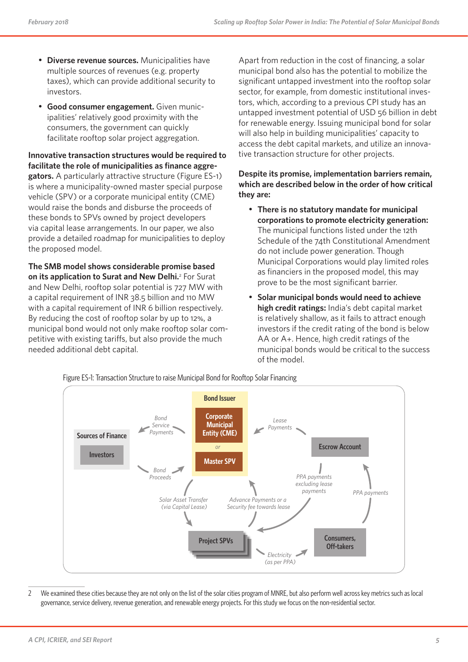- **Diverse revenue sources.** Municipalities have multiple sources of revenues (e.g. property taxes), which can provide additional security to investors.
- **Good consumer engagement.** Given municipalities' relatively good proximity with the consumers, the government can quickly facilitate rooftop solar project aggregation.

**Innovative transaction structures would be required to facilitate the role of municipalities as finance aggregators.** A particularly attractive structure (Figure ES-1) is where a municipality-owned master special purpose vehicle (SPV) or a corporate municipal entity (CME) would raise the bonds and disburse the proceeds of these bonds to SPVs owned by project developers via capital lease arrangements. In our paper, we also provide a detailed roadmap for municipalities to deploy the proposed model.

**The SMB model shows considerable promise based**  on its application to Surat and New Delhi.<sup>2</sup> For Surat and New Delhi, rooftop solar potential is 727 MW with a capital requirement of INR 38.5 billion and 110 MW with a capital requirement of INR 6 billion respectively. By reducing the cost of rooftop solar by up to 12%, a municipal bond would not only make rooftop solar competitive with existing tariffs, but also provide the much needed additional debt capital.

Apart from reduction in the cost of financing, a solar municipal bond also has the potential to mobilize the significant untapped investment into the rooftop solar sector, for example, from domestic institutional investors, which, according to a previous CPI study has an untapped investment potential of USD 56 billion in debt for renewable energy. Issuing municipal bond for solar will also help in building municipalities' capacity to access the debt capital markets, and utilize an innovative transaction structure for other projects.

#### **Despite its promise, implementation barriers remain, which are described below in the order of how critical they are:**

- **There is no statutory mandate for municipal corporations to promote electricity generation:** The municipal functions listed under the 12th Schedule of the 74th Constitutional Amendment do not include power generation. Though Municipal Corporations would play limited roles as financiers in the proposed model, this may prove to be the most significant barrier.
- **Solar municipal bonds would need to achieve high credit ratings:** India's debt capital market is relatively shallow, as it fails to attract enough investors if the credit rating of the bond is below AA or A+. Hence, high credit ratings of the municipal bonds would be critical to the success of the model.



2 We examined these cities because they are not only on the list of the solar cities program of MNRE, but also perform well across key metrics such as local governance, service delivery, revenue generation, and renewable energy projects. For this study we focus on the non-residential sector.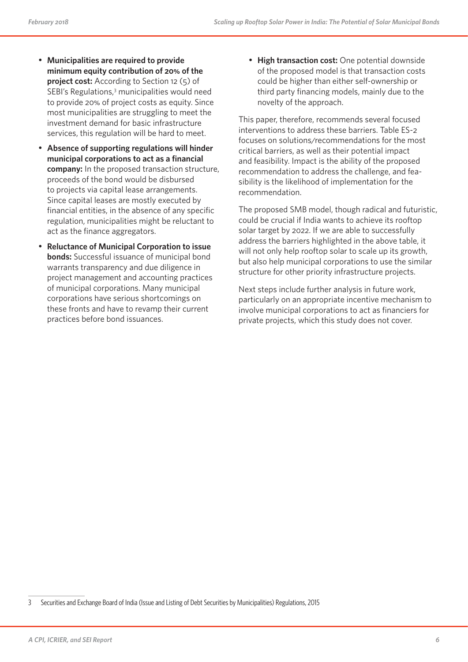- **Municipalities are required to provide minimum equity contribution of 20% of the project cost:** According to Section 12 (5) of SEBI's Regulations,<sup>3</sup> municipalities would need to provide 20% of project costs as equity. Since most municipalities are struggling to meet the investment demand for basic infrastructure services, this regulation will be hard to meet.
- **Absence of supporting regulations will hinder municipal corporations to act as a financial company:** In the proposed transaction structure, proceeds of the bond would be disbursed to projects via capital lease arrangements. Since capital leases are mostly executed by financial entities, in the absence of any specific regulation, municipalities might be reluctant to act as the finance aggregators.
- **Reluctance of Municipal Corporation to issue bonds:** Successful issuance of municipal bond warrants transparency and due diligence in project management and accounting practices of municipal corporations. Many municipal corporations have serious shortcomings on these fronts and have to revamp their current practices before bond issuances.

• **High transaction cost:** One potential downside of the proposed model is that transaction costs could be higher than either self-ownership or third party financing models, mainly due to the novelty of the approach.

This paper, therefore, recommends several focused interventions to address these barriers. Table ES-2 focuses on solutions/recommendations for the most critical barriers, as well as their potential impact and feasibility. Impact is the ability of the proposed recommendation to address the challenge, and feasibility is the likelihood of implementation for the recommendation.

The proposed SMB model, though radical and futuristic, could be crucial if India wants to achieve its rooftop solar target by 2022. If we are able to successfully address the barriers highlighted in the above table, it will not only help rooftop solar to scale up its growth, but also help municipal corporations to use the similar structure for other priority infrastructure projects.

Next steps include further analysis in future work, particularly on an appropriate incentive mechanism to involve municipal corporations to act as financiers for private projects, which this study does not cover.

<sup>3</sup> Securities and Exchange Board of India (Issue and Listing of Debt Securities by Municipalities) Regulations, 2015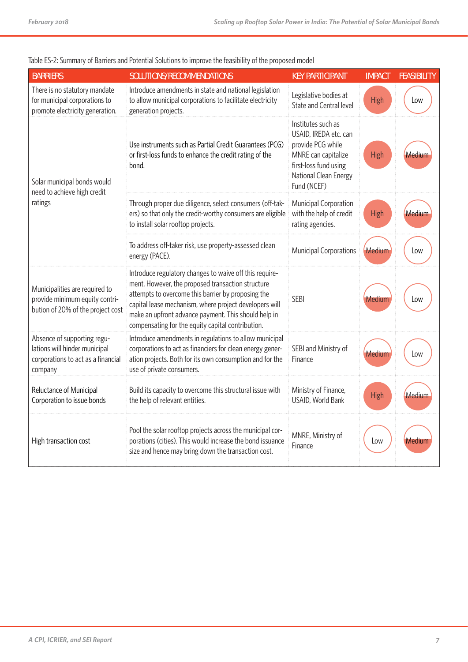| <b>BARRIERS</b>                                                                                               | SOLUTIONS/RECOMMENDATIONS                                                                                                                                                                                                                                                                                                                 | <b>KEY PARTICIPANT</b>                                                                                                                                   | <b>IMPACT</b> | <b>FEASIBILITY</b> |
|---------------------------------------------------------------------------------------------------------------|-------------------------------------------------------------------------------------------------------------------------------------------------------------------------------------------------------------------------------------------------------------------------------------------------------------------------------------------|----------------------------------------------------------------------------------------------------------------------------------------------------------|---------------|--------------------|
| There is no statutory mandate<br>for municipal corporations to<br>promote electricity generation.             | Introduce amendments in state and national legislation<br>to allow municipal corporations to facilitate electricity<br>generation projects.                                                                                                                                                                                               | Legislative bodies at<br>State and Central level                                                                                                         | High          | Low                |
| Solar municipal bonds would<br>need to achieve high credit                                                    | Use instruments such as Partial Credit Guarantees (PCG)<br>or first-loss funds to enhance the credit rating of the<br>bond.                                                                                                                                                                                                               | Institutes such as<br>USAID, IREDA etc. can<br>provide PCG while<br>MNRE can capitalize<br>first-loss fund using<br>National Clean Energy<br>Fund (NCEF) | <b>High</b>   | Medium             |
| ratings                                                                                                       | Through proper due diligence, select consumers (off-tak-<br>ers) so that only the credit-worthy consumers are eligible<br>to install solar rooftop projects.                                                                                                                                                                              | Municipal Corporation<br>with the help of credit<br>rating agencies.                                                                                     | <b>High</b>   | Medium             |
|                                                                                                               | To address off-taker risk, use property-assessed clean<br>energy (PACE).                                                                                                                                                                                                                                                                  | <b>Municipal Corporations</b>                                                                                                                            | Medium        | Low                |
| Municipalities are required to<br>provide minimum equity contri-<br>bution of 20% of the project cost         | Introduce regulatory changes to waive off this require-<br>ment. However, the proposed transaction structure<br>attempts to overcome this barrier by proposing the<br>capital lease mechanism, where project developers will<br>make an upfront advance payment. This should help in<br>compensating for the equity capital contribution. | <b>SFBI</b>                                                                                                                                              | Medium        | Low                |
| Absence of supporting regu-<br>lations will hinder municipal<br>corporations to act as a financial<br>company | Introduce amendments in regulations to allow municipal<br>corporations to act as financiers for clean energy gener-<br>ation projects. Both for its own consumption and for the<br>use of private consumers.                                                                                                                              | SEBI and Ministry of<br>Finance                                                                                                                          | Medium        | Low                |
| Reluctance of Municipal<br>Corporation to issue bonds                                                         | Build its capacity to overcome this structural issue with<br>the help of relevant entities.                                                                                                                                                                                                                                               | Ministry of Finance,<br>USAID, World Bank                                                                                                                | <b>High</b>   | Medium             |
| High transaction cost                                                                                         | Pool the solar rooftop projects across the municipal cor-<br>porations (cities). This would increase the bond issuance<br>size and hence may bring down the transaction cost.                                                                                                                                                             | MNRE, Ministry of<br>Finance                                                                                                                             | Low           | Mediur             |

#### Table ES-2: Summary of Barriers and Potential Solutions to improve the feasibility of the proposed model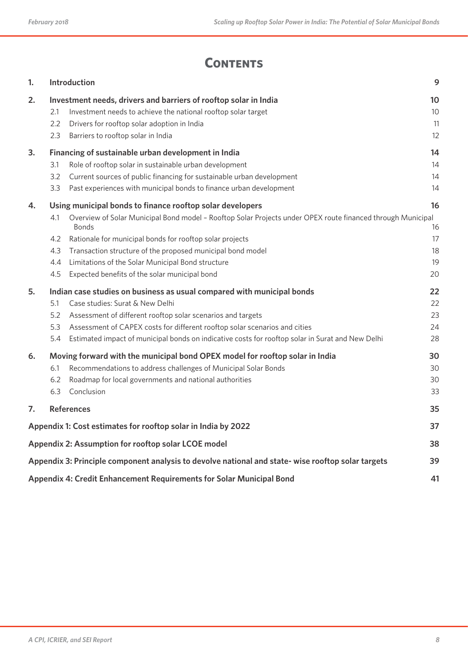## **CONTENTS**

| 1. |                                 | Introduction                                                                                                                                                                                                                                                                                                                                                                                                             | 9                                |
|----|---------------------------------|--------------------------------------------------------------------------------------------------------------------------------------------------------------------------------------------------------------------------------------------------------------------------------------------------------------------------------------------------------------------------------------------------------------------------|----------------------------------|
| 2. | 2.1<br>2.2<br>2.3               | Investment needs, drivers and barriers of rooftop solar in India<br>Investment needs to achieve the national rooftop solar target<br>Drivers for rooftop solar adoption in India<br>Barriers to rooftop solar in India                                                                                                                                                                                                   | 10<br>10<br>11<br>12             |
| 3. | 3.1<br>3.2<br>3.3               | Financing of sustainable urban development in India<br>Role of rooftop solar in sustainable urban development<br>Current sources of public financing for sustainable urban development<br>Past experiences with municipal bonds to finance urban development                                                                                                                                                             | 14<br>14<br>14<br>14             |
| 4. | 4.1<br>4.2<br>4.3<br>4.4<br>4.5 | Using municipal bonds to finance rooftop solar developers<br>Overview of Solar Municipal Bond model - Rooftop Solar Projects under OPEX route financed through Municipal<br><b>Bonds</b><br>Rationale for municipal bonds for rooftop solar projects<br>Transaction structure of the proposed municipal bond model<br>Limitations of the Solar Municipal Bond structure<br>Expected benefits of the solar municipal bond | 16<br>16<br>17<br>18<br>19<br>20 |
| 5. | 5.1<br>5.2<br>5.3<br>5.4        | Indian case studies on business as usual compared with municipal bonds<br>Case studies: Surat & New Delhi<br>Assessment of different rooftop solar scenarios and targets<br>Assessment of CAPEX costs for different rooftop solar scenarios and cities<br>Estimated impact of municipal bonds on indicative costs for rooftop solar in Surat and New Delhi                                                               | 22<br>22<br>23<br>24<br>28       |
| 6. | 6.1<br>6.2<br>6.3               | Moving forward with the municipal bond OPEX model for rooftop solar in India<br>Recommendations to address challenges of Municipal Solar Bonds<br>Roadmap for local governments and national authorities<br>Conclusion                                                                                                                                                                                                   | 30<br>30<br>30<br>33             |
| 7. |                                 | <b>References</b>                                                                                                                                                                                                                                                                                                                                                                                                        | 35                               |
|    |                                 | Appendix 1: Cost estimates for rooftop solar in India by 2022                                                                                                                                                                                                                                                                                                                                                            | 37                               |
|    |                                 | Appendix 2: Assumption for rooftop solar LCOE model                                                                                                                                                                                                                                                                                                                                                                      | 38                               |
|    |                                 | Appendix 3: Principle component analysis to devolve national and state- wise rooftop solar targets                                                                                                                                                                                                                                                                                                                       | 39                               |
|    |                                 | Appendix 4: Credit Enhancement Requirements for Solar Municipal Bond                                                                                                                                                                                                                                                                                                                                                     | 41                               |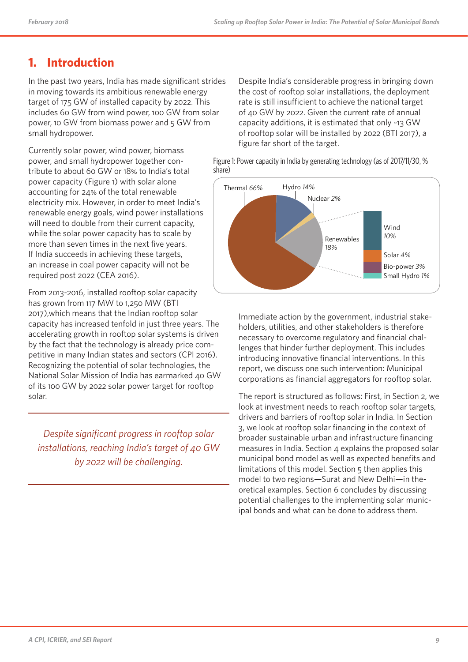## **1. Introduction**

In the past two years, India has made significant strides in moving towards its ambitious renewable energy target of 175 GW of installed capacity by 2022. This includes 60 GW from wind power, 100 GW from solar power, 10 GW from biomass power and 5 GW from small hydropower.

Currently solar power, wind power, biomass power, and small hydropower together contribute to about 60 GW or 18% to India's total power capacity (Figure 1) with solar alone accounting for 24% of the total renewable electricity mix. However, in order to meet India's renewable energy goals, wind power installations will need to double from their current capacity, while the solar power capacity has to scale by more than seven times in the next five years. If India succeeds in achieving these targets, an increase in coal power capacity will not be required post 2022 (CEA 2016).

From 2013-2016, installed rooftop solar capacity has grown from 117 MW to 1,250 MW (BTI 2017),which means that the Indian rooftop solar capacity has increased tenfold in just three years. The accelerating growth in rooftop solar systems is driven by the fact that the technology is already price competitive in many Indian states and sectors (CPI 2016). Recognizing the potential of solar technologies, the National Solar Mission of India has earmarked 40 GW of its 100 GW by 2022 solar power target for rooftop solar.

*Despite significant progress in rooftop solar installations, reaching India's target of 40 GW by 2022 will be challenging.*

Despite India's considerable progress in bringing down the cost of rooftop solar installations, the deployment rate is still insufficient to achieve the national target of 40 GW by 2022. Given the current rate of annual capacity additions, it is estimated that only ~13 GW of rooftop solar will be installed by 2022 (BTI 2017), a figure far short of the target.

Figure 1: Power capacity in India by generating technology (as of 2017/11/30, % share)



Immediate action by the government, industrial stakeholders, utilities, and other stakeholders is therefore necessary to overcome regulatory and financial challenges that hinder further deployment. This includes introducing innovative financial interventions. In this report, we discuss one such intervention: Municipal corporations as financial aggregators for rooftop solar.

The report is structured as follows: First, in Section 2, we look at investment needs to reach rooftop solar targets, drivers and barriers of rooftop solar in India. In Section 3, we look at rooftop solar financing in the context of broader sustainable urban and infrastructure financing measures in India. Section  $\Delta$  explains the proposed solar municipal bond model as well as expected benefits and limitations of this model. Section 5 then applies this model to two regions—Surat and New Delhi—in theoretical examples. Section 6 concludes by discussing potential challenges to the implementing solar municipal bonds and what can be done to address them.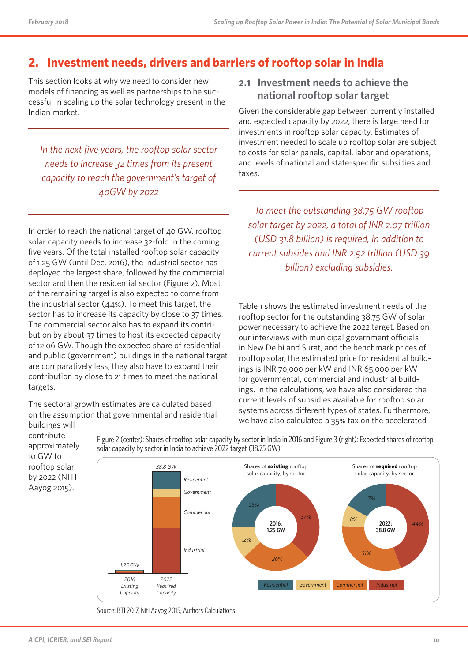## **2. Investment needs, drivers and barriers of rooftop solar in India**

This section looks at why we need to consider new models of financing as well as partnerships to be successful in scaling up the solar technology present in the Indian market.

*In the next five years, the rooftop solar sector needs to increase 32 times from its present capacity to reach the government's target of 40GW by 2022*

In order to reach the national target of 40 GW, rooftop solar capacity needs to increase 32-fold in the coming five years. Of the total installed rooftop solar capacity of 1.25 GW (until Dec. 2016), the industrial sector has deployed the largest share, followed by the commercial sector and then the residential sector (Figure 2). Most of the remaining target is also expected to come from the industrial sector (44%). To meet this target, the sector has to increase its capacity by close to 37 times. The commercial sector also has to expand its contribution by about 37 times to host its expected capacity of 12.06 GW. Though the expected share of residential and public (government) buildings in the national target are comparatively less, they also have to expand their contribution by close to 21 times to meet the national targets.

The sectoral growth estimates are calculated based on the assumption that governmental and residential buildings will

### **2.1 Investment needs to achieve the national rooftop solar target**

Given the considerable gap between currently installed and expected capacity by 2022, there is large need for investments in rooftop solar capacity. Estimates of investment needed to scale up rooftop solar are subject to costs for solar panels, capital, labor and operations, and levels of national and state-specific subsidies and taxes.

*To meet the outstanding 38.75 GW rooftop solar target by 2022, a total of INR 2.07 trillion (USD 31.8 billion) is required, in addition to current subsides and INR 2.52 trillion (USD 39 billion) excluding subsidies.*

Table 1 shows the estimated investment needs of the rooftop sector for the outstanding 38.75 GW of solar power necessary to achieve the 2022 target. Based on our interviews with municipal government officials in New Delhi and Surat, and the benchmark prices of rooftop solar, the estimated price for residential buildings is INR 70,000 per kW and INR 65,000 per kW for governmental, commercial and industrial buildings. In the calculations, we have also considered the current levels of subsidies available for rooftop solar systems across different types of states. Furthermore, we have also calculated a 35% tax on the accelerated



Figure 2 (center): Shares of rooftop solar capacity by sector in India in 2016 and Figure 3 (right): Expected shares of rooftop solar capacity by sector in India to achieve 2022 target (38.75 GW)

Source: BTI 2017, Niti Aayog 2015, Authors Calculations

contribute approximately 10 GW to rooftop solar by 2022 (NITI Aayog 2015).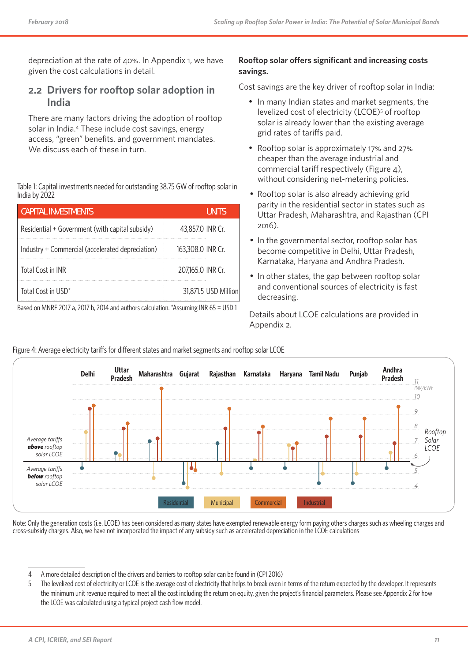depreciation at the rate of 40%. In Appendix 1, we have given the cost calculations in detail.

### **2.2 Drivers for rooftop solar adoption in India**

There are many factors driving the adoption of rooftop solar in India.4 These include cost savings, energy access, "green" benefits, and government mandates. We discuss each of these in turn.

Table 1: Capital investments needed for outstanding 38.75 GW of rooftop solar in India by 2022

| <b>CAPITAL INVESTMENTS</b>                       | <b>UNITS</b>         |
|--------------------------------------------------|----------------------|
| Residential + Government (with capital subsidy)  | 43,857.0 INR Cr.     |
| Industry + Commercial (accelerated depreciation) | 163,308.0 INR Cr.    |
| Total Cost in INR                                | 207,165.0 INR Cr.    |
| Total Cost in USD*                               | 31,871.5 USD Million |

Based on MNRE 2017 a, 2017 b, 2014 and authors calculation. \*Assuming INR 65 = USD 1

#### **Rooftop solar offers significant and increasing costs savings.**

Cost savings are the key driver of rooftop solar in India:

- In many Indian states and market segments, the levelized cost of electricity (LCOE)<sup>5</sup> of rooftop solar is already lower than the existing average grid rates of tariffs paid.
- Rooftop solar is approximately 17% and 27% cheaper than the average industrial and commercial tariff respectively (Figure 4), without considering net-metering policies.
- Rooftop solar is also already achieving grid parity in the residential sector in states such as Uttar Pradesh, Maharashtra, and Rajasthan (CPI 2016).
- In the governmental sector, rooftop solar has become competitive in Delhi, Uttar Pradesh, Karnataka, Haryana and Andhra Pradesh.
- In other states, the gap between rooftop solar and conventional sources of electricity is fast decreasing.

Details about LCOE calculations are provided in Appendix 2.



#### Figure 4: Average electricity tariffs for different states and market segments and rooftop solar LCOE

Note: Only the generation costs (i.e. LCOE) has been considered as many states have exempted renewable energy form paying others charges such as wheeling charges and cross-subsidy charges. Also, we have not incorporated the impact of any subsidy such as accelerated depreciation in the LCOE calculations

<sup>4</sup> A more detailed description of the drivers and barriers to rooftop solar can be found in (CPI 2016)

<sup>5</sup> The levelized cost of electricity or LCOE is the average cost of electricity that helps to break even in terms of the return expected by the developer. It represents the minimum unit revenue required to meet all the cost including the return on equity, given the project's financial parameters. Please see Appendix 2 for how the LCOE was calculated using a typical project cash flow model.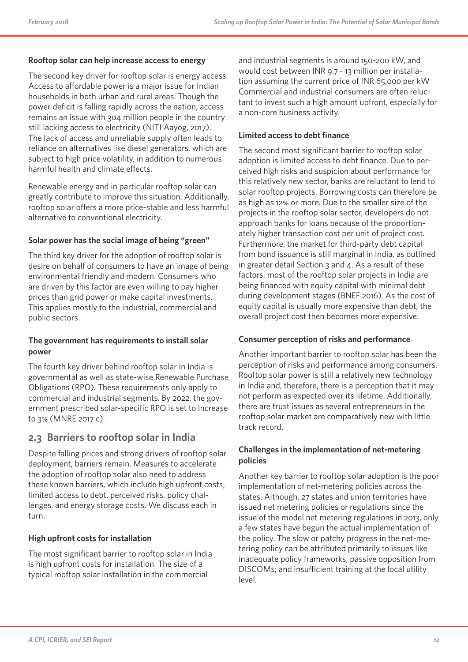#### **Rooftop solar can help increase access to energy**

The second key driver for rooftop solar is energy access. Access to affordable power is a major issue for Indian households in both urban and rural areas. Though the power deficit is falling rapidly across the nation, access remains an issue with 304 million people in the country still lacking access to electricity (NITI Aayog, 2017). The lack of access and unreliable supply often leads to reliance on alternatives like diesel generators, which are subject to high price volatility, in addition to numerous harmful health and climate effects.

Renewable energy and in particular rooftop solar can greatly contribute to improve this situation. Additionally, rooftop solar offers a more price-stable and less harmful alternative to conventional electricity.

#### **Solar power has the social image of being "green"**

The third key driver for the adoption of rooftop solar is desire on behalf of consumers to have an image of being environmental friendly and modern. Consumers who are driven by this factor are even willing to pay higher prices than grid power or make capital investments. This applies mostly to the industrial, commercial and public sectors.

#### **The government has requirements to install solar power**

The fourth key driver behind rooftop solar in India is governmental as well as state-wise Renewable Purchase Obligations (RPO). These requirements only apply to commercial and industrial segments. By 2022, the government prescribed solar-specific RPO is set to increase to 3% (MNRE 2017 c).

### **2.3 Barriers to rooftop solar in India**

Despite falling prices and strong drivers of rooftop solar deployment, barriers remain. Measures to accelerate the adoption of rooftop solar also need to address these known barriers, which include high upfront costs, limited access to debt, perceived risks, policy challenges, and energy storage costs. We discuss each in turn.

#### **High upfront costs for installation**

The most significant barrier to rooftop solar in India is high upfront costs for installation. The size of a typical rooftop solar installation in the commercial

and industrial segments is around 150-200 kW, and would cost between INR 9.7 - 13 million per installation assuming the current price of INR 65,000 per kW Commercial and industrial consumers are often reluctant to invest such a high amount upfront, especially for a non-core business activity.

#### **Limited access to debt finance**

The second most significant barrier to rooftop solar adoption is limited access to debt finance. Due to perceived high risks and suspicion about performance for this relatively new sector, banks are reluctant to lend to solar rooftop projects. Borrowing costs can therefore be as high as 12% or more. Due to the smaller size of the projects in the rooftop solar sector, developers do not approach banks for loans because of the proportionately higher transaction cost per unit of project cost. Furthermore, the market for third-party debt capital from bond issuance is still marginal in India, as outlined in greater detail Section  $3$  and  $4$ . As a result of these factors, most of the rooftop solar projects in India are being financed with equity capital with minimal debt during development stages (BNEF 2016). As the cost of equity capital is usually more expensive than debt, the overall project cost then becomes more expensive.

#### **Consumer perception of risks and performance**

Another important barrier to rooftop solar has been the perception of risks and performance among consumers. Rooftop solar power is still a relatively new technology in India and, therefore, there is a perception that it may not perform as expected over its lifetime. Additionally, there are trust issues as several entrepreneurs in the rooftop solar market are comparatively new with little track record.

#### **Challenges in the implementation of net-metering policies**

Another key barrier to rooftop solar adoption is the poor implementation of net-metering policies across the states. Although, 27 states and union territories have issued net metering policies or regulations since the issue of the model net metering regulations in 2013, only a few states have begun the actual implementation of the policy. The slow or patchy progress in the net-metering policy can be attributed primarily to issues like inadequate policy frameworks, passive opposition from DISCOMs; and insufficient training at the local utility level.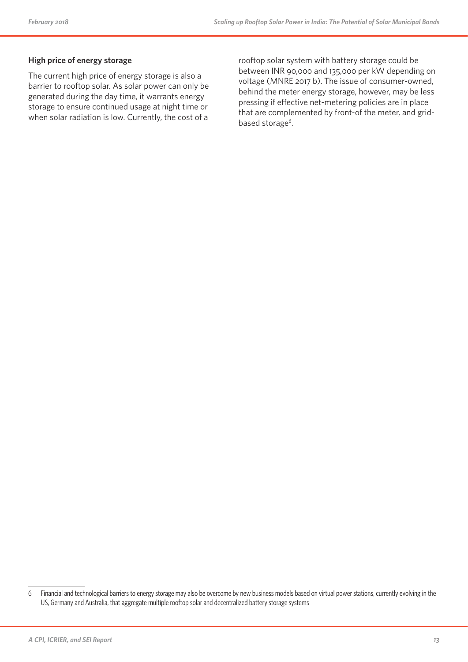#### **High price of energy storage**

The current high price of energy storage is also a barrier to rooftop solar. As solar power can only be generated during the day time, it warrants energy storage to ensure continued usage at night time or when solar radiation is low. Currently, the cost of a

rooftop solar system with battery storage could be between INR 90,000 and 135,000 per kW depending on voltage (MNRE 2017 b). The issue of consumer-owned, behind the meter energy storage, however, may be less pressing if effective net-metering policies are in place that are complemented by front-of the meter, and gridbased storage<sup>6</sup>.

<sup>6</sup> Financial and technological barriers to energy storage may also be overcome by new business models based on virtual power stations, currently evolving in the US, Germany and Australia, that aggregate multiple rooftop solar and decentralized battery storage systems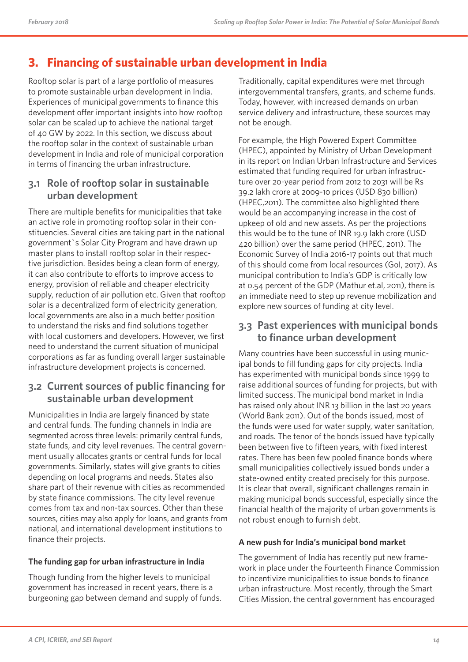## **3. Financing of sustainable urban development in India**

Rooftop solar is part of a large portfolio of measures to promote sustainable urban development in India. Experiences of municipal governments to finance this development offer important insights into how rooftop solar can be scaled up to achieve the national target of 40 GW by 2022. In this section, we discuss about the rooftop solar in the context of sustainable urban development in India and role of municipal corporation in terms of financing the urban infrastructure.

### **3.1 Role of rooftop solar in sustainable urban development**

There are multiple benefits for municipalities that take an active role in promoting rooftop solar in their constituencies. Several cities are taking part in the national government`s Solar City Program and have drawn up master plans to install rooftop solar in their respective jurisdiction. Besides being a clean form of energy, it can also contribute to efforts to improve access to energy, provision of reliable and cheaper electricity supply, reduction of air pollution etc. Given that rooftop solar is a decentralized form of electricity generation, local governments are also in a much better position to understand the risks and find solutions together with local customers and developers. However, we first need to understand the current situation of municipal corporations as far as funding overall larger sustainable infrastructure development projects is concerned.

## **3.2 Current sources of public financing for sustainable urban development**

Municipalities in India are largely financed by state and central funds. The funding channels in India are segmented across three levels: primarily central funds, state funds, and city level revenues. The central government usually allocates grants or central funds for local governments. Similarly, states will give grants to cities depending on local programs and needs. States also share part of their revenue with cities as recommended by state finance commissions. The city level revenue comes from tax and non-tax sources. Other than these sources, cities may also apply for loans, and grants from national, and international development institutions to finance their projects.

#### **The funding gap for urban infrastructure in India**

Though funding from the higher levels to municipal government has increased in recent years, there is a burgeoning gap between demand and supply of funds. Traditionally, capital expenditures were met through intergovernmental transfers, grants, and scheme funds. Today, however, with increased demands on urban service delivery and infrastructure, these sources may not be enough.

For example, the High Powered Expert Committee (HPEC), appointed by Ministry of Urban Development in its report on Indian Urban Infrastructure and Services estimated that funding required for urban infrastructure over 20-year period from 2012 to 2031 will be Rs 39.2 lakh crore at 2009-10 prices (USD 830 billion) (HPEC,2011). The committee also highlighted there would be an accompanying increase in the cost of upkeep of old and new assets. As per the projections this would be to the tune of INR 19.9 lakh crore (USD 420 billion) over the same period (HPEC, 2011). The Economic Survey of India 2016-17 points out that much of this should come from local resources (GoI, 2017). As municipal contribution to India's GDP is critically low at 0.54 percent of the GDP (Mathur et.al, 2011), there is an immediate need to step up revenue mobilization and explore new sources of funding at city level.

### **3.3 Past experiences with municipal bonds to finance urban development**

Many countries have been successful in using municipal bonds to fill funding gaps for city projects. India has experimented with municipal bonds since 1999 to raise additional sources of funding for projects, but with limited success. The municipal bond market in India has raised only about INR 13 billion in the last 20 years (World Bank 2011). Out of the bonds issued, most of the funds were used for water supply, water sanitation, and roads. The tenor of the bonds issued have typically been between five to fifteen years, with fixed interest rates. There has been few pooled finance bonds where small municipalities collectively issued bonds under a state-owned entity created precisely for this purpose. It is clear that overall, significant challenges remain in making municipal bonds successful, especially since the financial health of the majority of urban governments is not robust enough to furnish debt.

#### **A new push for India's municipal bond market**

The government of India has recently put new framework in place under the Fourteenth Finance Commission to incentivize municipalities to issue bonds to finance urban infrastructure. Most recently, through the Smart Cities Mission, the central government has encouraged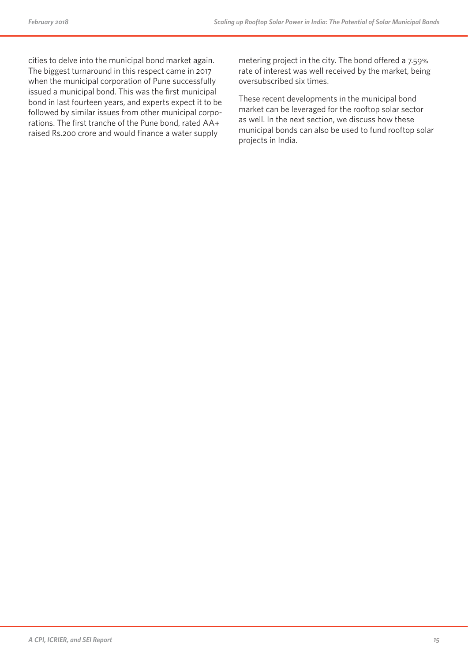cities to delve into the municipal bond market again. The biggest turnaround in this respect came in 2017 when the municipal corporation of Pune successfully issued a municipal bond. This was the first municipal bond in last fourteen years, and experts expect it to be followed by similar issues from other municipal corporations. The first tranche of the Pune bond, rated AA+ raised Rs.200 crore and would finance a water supply

metering project in the city. The bond offered a 7.59% rate of interest was well received by the market, being oversubscribed six times.

These recent developments in the municipal bond market can be leveraged for the rooftop solar sector as well. In the next section, we discuss how these municipal bonds can also be used to fund rooftop solar projects in India.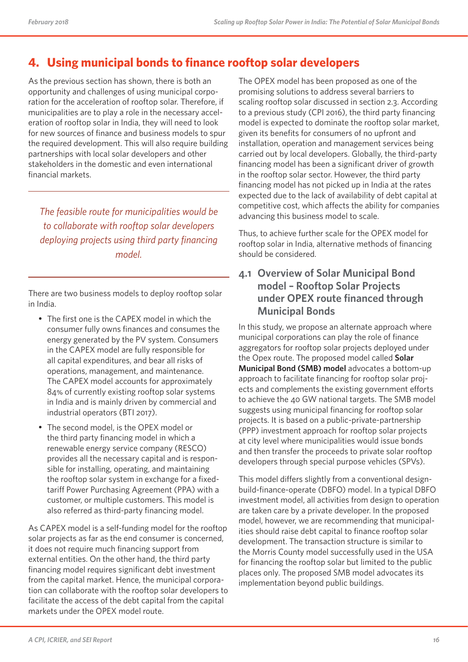## **4. Using municipal bonds to finance rooftop solar developers**

As the previous section has shown, there is both an opportunity and challenges of using municipal corporation for the acceleration of rooftop solar. Therefore, if municipalities are to play a role in the necessary acceleration of rooftop solar in India, they will need to look for new sources of finance and business models to spur the required development. This will also require building partnerships with local solar developers and other stakeholders in the domestic and even international financial markets.

*The feasible route for municipalities would be to collaborate with rooftop solar developers deploying projects using third party financing model.*

There are two business models to deploy rooftop solar in India.

- The first one is the CAPEX model in which the consumer fully owns finances and consumes the energy generated by the PV system. Consumers in the CAPEX model are fully responsible for all capital expenditures, and bear all risks of operations, management, and maintenance. The CAPEX model accounts for approximately 84% of currently existing rooftop solar systems in India and is mainly driven by commercial and industrial operators (BTI 2017).
- The second model, is the OPEX model or the third party financing model in which a renewable energy service company (RESCO) provides all the necessary capital and is responsible for installing, operating, and maintaining the rooftop solar system in exchange for a fixedtariff Power Purchasing Agreement (PPA) with a customer, or multiple customers. This model is also referred as third-party financing model.

As CAPEX model is a self-funding model for the rooftop solar projects as far as the end consumer is concerned, it does not require much financing support from external entities. On the other hand, the third party financing model requires significant debt investment from the capital market. Hence, the municipal corporation can collaborate with the rooftop solar developers to facilitate the access of the debt capital from the capital markets under the OPEX model route.

The OPEX model has been proposed as one of the promising solutions to address several barriers to scaling rooftop solar discussed in section 2.3. According to a previous study (CPI 2016), the third party financing model is expected to dominate the rooftop solar market, given its benefits for consumers of no upfront and installation, operation and management services being carried out by local developers. Globally, the third-party financing model has been a significant driver of growth in the rooftop solar sector. However, the third party financing model has not picked up in India at the rates expected due to the lack of availability of debt capital at competitive cost, which affects the ability for companies advancing this business model to scale.

Thus, to achieve further scale for the OPEX model for rooftop solar in India, alternative methods of financing should be considered.

### **4.1 Overview of Solar Municipal Bond model – Rooftop Solar Projects under OPEX route financed through Municipal Bonds**

In this study, we propose an alternate approach where municipal corporations can play the role of finance aggregators for rooftop solar projects deployed under the Opex route. The proposed model called **Solar Municipal Bond (SMB) model** advocates a bottom-up approach to facilitate financing for rooftop solar projects and complements the existing government efforts to achieve the 40 GW national targets. The SMB model suggests using municipal financing for rooftop solar projects. It is based on a public-private-partnership (PPP) investment approach for rooftop solar projects at city level where municipalities would issue bonds and then transfer the proceeds to private solar rooftop developers through special purpose vehicles (SPVs).

This model differs slightly from a conventional designbuild-finance-operate (DBFO) model. In a typical DBFO investment model, all activities from design to operation are taken care by a private developer. In the proposed model, however, we are recommending that municipalities should raise debt capital to finance rooftop solar development. The transaction structure is similar to the Morris County model successfully used in the USA for financing the rooftop solar but limited to the public places only. The proposed SMB model advocates its implementation beyond public buildings.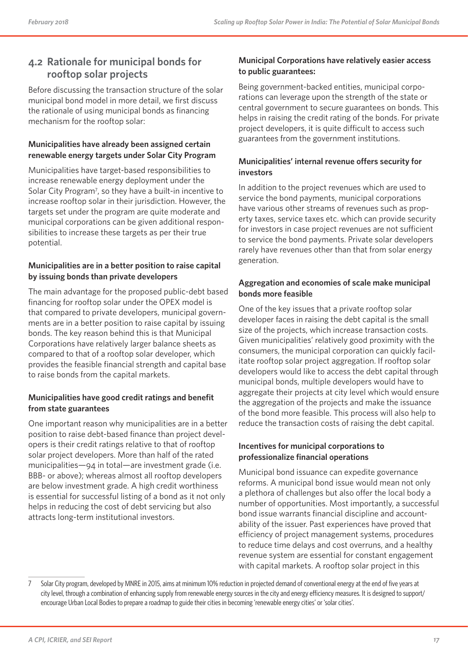### **4.2 Rationale for municipal bonds for rooftop solar projects**

Before discussing the transaction structure of the solar municipal bond model in more detail, we first discuss the rationale of using municipal bonds as financing mechanism for the rooftop solar:

#### **Municipalities have already been assigned certain renewable energy targets under Solar City Program**

Municipalities have target-based responsibilities to increase renewable energy deployment under the Solar City Program<sup>7</sup>, so they have a built-in incentive to increase rooftop solar in their jurisdiction. However, the targets set under the program are quite moderate and municipal corporations can be given additional responsibilities to increase these targets as per their true potential.

#### **Municipalities are in a better position to raise capital by issuing bonds than private developers**

The main advantage for the proposed public-debt based financing for rooftop solar under the OPEX model is that compared to private developers, municipal governments are in a better position to raise capital by issuing bonds. The key reason behind this is that Municipal Corporations have relatively larger balance sheets as compared to that of a rooftop solar developer, which provides the feasible financial strength and capital base to raise bonds from the capital markets.

#### **Municipalities have good credit ratings and benefit from state guarantees**

One important reason why municipalities are in a better position to raise debt-based finance than project developers is their credit ratings relative to that of rooftop solar project developers. More than half of the rated municipalities—94 in total—are investment grade (i.e. BBB- or above); whereas almost all rooftop developers are below investment grade. A high credit worthiness is essential for successful listing of a bond as it not only helps in reducing the cost of debt servicing but also attracts long-term institutional investors.

#### **Municipal Corporations have relatively easier access to public guarantees:**

Being government-backed entities, municipal corporations can leverage upon the strength of the state or central government to secure guarantees on bonds. This helps in raising the credit rating of the bonds. For private project developers, it is quite difficult to access such guarantees from the government institutions.

#### **Municipalities' internal revenue offers security for investors**

In addition to the project revenues which are used to service the bond payments, municipal corporations have various other streams of revenues such as property taxes, service taxes etc. which can provide security for investors in case project revenues are not sufficient to service the bond payments. Private solar developers rarely have revenues other than that from solar energy generation.

### **Aggregation and economies of scale make municipal bonds more feasible**

One of the key issues that a private rooftop solar developer faces in raising the debt capital is the small size of the projects, which increase transaction costs. Given municipalities' relatively good proximity with the consumers, the municipal corporation can quickly facilitate rooftop solar project aggregation. If rooftop solar developers would like to access the debt capital through municipal bonds, multiple developers would have to aggregate their projects at city level which would ensure the aggregation of the projects and make the issuance of the bond more feasible. This process will also help to reduce the transaction costs of raising the debt capital.

#### **Incentives for municipal corporations to professionalize financial operations**

Municipal bond issuance can expedite governance reforms. A municipal bond issue would mean not only a plethora of challenges but also offer the local body a number of opportunities. Most importantly, a successful bond issue warrants financial discipline and accountability of the issuer. Past experiences have proved that efficiency of project management systems, procedures to reduce time delays and cost overruns, and a healthy revenue system are essential for constant engagement with capital markets. A rooftop solar project in this

<sup>7</sup> Solar City program, developed by MNRE in 2015, aims at minimum 10% reduction in projected demand of conventional energy at the end of five years at city level, through a combination of enhancing supply from renewable energy sources in the city and energy efficiency measures. It is designed to support/ encourage Urban Local Bodies to prepare a roadmap to guide their cities in becoming 'renewable energy cities' or 'solar cities'.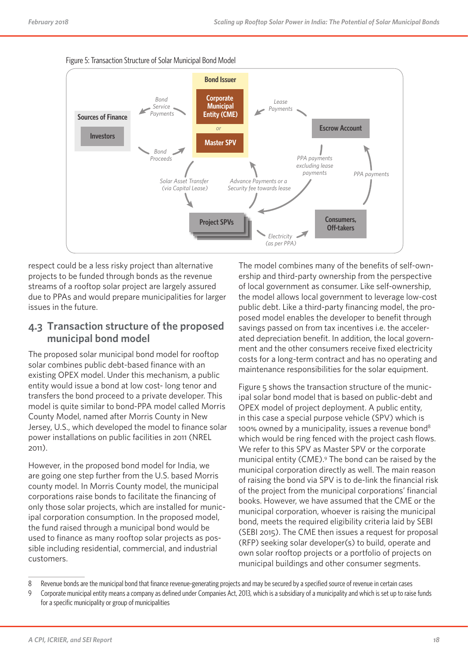

Figure 5: Transaction Structure of Solar Municipal Bond Model

respect could be a less risky project than alternative projects to be funded through bonds as the revenue streams of a rooftop solar project are largely assured due to PPAs and would prepare municipalities for larger issues in the future.

### **4.3 Transaction structure of the proposed municipal bond model**

The proposed solar municipal bond model for rooftop solar combines public debt-based finance with an existing OPEX model. Under this mechanism, a public entity would issue a bond at low cost- long tenor and transfers the bond proceed to a private developer. This model is quite similar to bond-PPA model called Morris County Model, named after Morris County in New Jersey, U.S., which developed the model to finance solar power installations on public facilities in 2011 (NREL 2011).

However, in the proposed bond model for India, we are going one step further from the U.S. based Morris county model. In Morris County model, the municipal corporations raise bonds to facilitate the financing of only those solar projects, which are installed for municipal corporation consumption. In the proposed model, the fund raised through a municipal bond would be used to finance as many rooftop solar projects as possible including residential, commercial, and industrial customers.

The model combines many of the benefits of self-ownership and third-party ownership from the perspective of local government as consumer. Like self-ownership, the model allows local government to leverage low-cost public debt. Like a third-party financing model, the proposed model enables the developer to benefit through savings passed on from tax incentives i.e. the accelerated depreciation benefit. In addition, the local government and the other consumers receive fixed electricity costs for a long-term contract and has no operating and maintenance responsibilities for the solar equipment.

Figure 5 shows the transaction structure of the municipal solar bond model that is based on public-debt and OPEX model of project deployment. A public entity, in this case a special purpose vehicle (SPV) which is 100% owned by a municipality, issues a revenue bond<sup>8</sup> which would be ring fenced with the project cash flows. We refer to this SPV as Master SPV or the corporate municipal entity (CME).9 The bond can be raised by the municipal corporation directly as well. The main reason of raising the bond via SPV is to de-link the financial risk of the project from the municipal corporations' financial books. However, we have assumed that the CME or the municipal corporation, whoever is raising the municipal bond, meets the required eligibility criteria laid by SEBI (SEBI 2015). The CME then issues a request for proposal (RFP) seeking solar developer(s) to build, operate and own solar rooftop projects or a portfolio of projects on municipal buildings and other consumer segments.

<sup>8</sup> Revenue bonds are the municipal bond that finance revenue-generating projects and may be secured by a specified source of revenue in certain cases

<sup>9</sup> Corporate municipal entity means a company as defined under Companies Act, 2013, which is a subsidiary of a municipality and which is set up to raise funds for a specific municipality or group of municipalities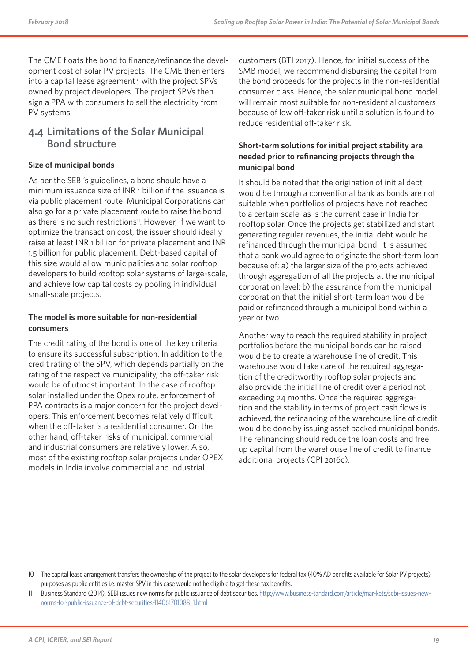The CME floats the bond to finance/refinance the development cost of solar PV projects. The CME then enters into a capital lease agreement<sup>10</sup> with the project SPVs owned by project developers. The project SPVs then sign a PPA with consumers to sell the electricity from PV systems.

## **4.4 Limitations of the Solar Municipal Bond structure**

#### **Size of municipal bonds**

As per the SEBI's guidelines, a bond should have a minimum issuance size of INR 1 billion if the issuance is via public placement route. Municipal Corporations can also go for a private placement route to raise the bond as there is no such restrictions<sup>11</sup>. However, if we want to optimize the transaction cost, the issuer should ideally raise at least INR 1 billion for private placement and INR 1.5 billion for public placement. Debt-based capital of this size would allow municipalities and solar rooftop developers to build rooftop solar systems of large-scale, and achieve low capital costs by pooling in individual small-scale projects.

#### **The model is more suitable for non-residential consumers**

The credit rating of the bond is one of the key criteria to ensure its successful subscription. In addition to the credit rating of the SPV, which depends partially on the rating of the respective municipality, the off-taker risk would be of utmost important. In the case of rooftop solar installed under the Opex route, enforcement of PPA contracts is a major concern for the project developers. This enforcement becomes relatively difficult when the off-taker is a residential consumer. On the other hand, off-taker risks of municipal, commercial, and industrial consumers are relatively lower. Also, most of the existing rooftop solar projects under OPEX models in India involve commercial and industrial

customers (BTI 2017). Hence, for initial success of the SMB model, we recommend disbursing the capital from the bond proceeds for the projects in the non-residential consumer class. Hence, the solar municipal bond model will remain most suitable for non-residential customers because of low off-taker risk until a solution is found to reduce residential off-taker risk.

#### **Short-term solutions for initial project stability are needed prior to refinancing projects through the municipal bond**

It should be noted that the origination of initial debt would be through a conventional bank as bonds are not suitable when portfolios of projects have not reached to a certain scale, as is the current case in India for rooftop solar. Once the projects get stabilized and start generating regular revenues, the initial debt would be refinanced through the municipal bond. It is assumed that a bank would agree to originate the short-term loan because of: a) the larger size of the projects achieved through aggregation of all the projects at the municipal corporation level; b) the assurance from the municipal corporation that the initial short-term loan would be paid or refinanced through a municipal bond within a year or two.

Another way to reach the required stability in project portfolios before the municipal bonds can be raised would be to create a warehouse line of credit. This warehouse would take care of the required aggregation of the creditworthy rooftop solar projects and also provide the initial line of credit over a period not exceeding 24 months. Once the required aggregation and the stability in terms of project cash flows is achieved, the refinancing of the warehouse line of credit would be done by issuing asset backed municipal bonds. The refinancing should reduce the loan costs and free up capital from the warehouse line of credit to finance additional projects (CPI 2016c).

<sup>10</sup> The capital lease arrangement transfers the ownership of the project to the solar developers for federal tax (40% AD benefits available for Solar PV projects) purposes as public entities i.e. master SPV in this case would not be eligible to get these tax benefits.

<sup>11</sup> Business Standard (2014). SEBI issues new norms for public issuance of debt securities. http://www.business-tandard.com/article/mar-kets/sebi-issues-newnorms-for-public-issuance-of-debt-securities-114061701088\_1.html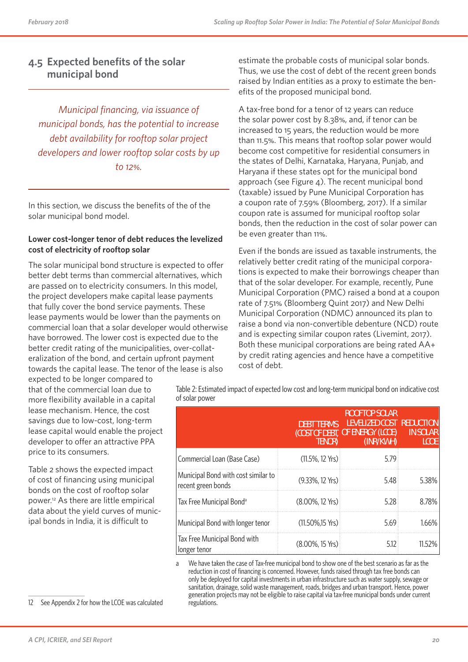### **4.5 Expected benefits of the solar municipal bond**

*Municipal financing, via issuance of municipal bonds, has the potential to increase debt availability for rooftop solar project developers and lower rooftop solar costs by up to 12%.*

In this section, we discuss the benefits of the of the solar municipal bond model.

#### **Lower cost-longer tenor of debt reduces the levelized cost of electricity of rooftop solar**

The solar municipal bond structure is expected to offer better debt terms than commercial alternatives, which are passed on to electricity consumers. In this model, the project developers make capital lease payments that fully cover the bond service payments. These lease payments would be lower than the payments on commercial loan that a solar developer would otherwise have borrowed. The lower cost is expected due to the better credit rating of the municipalities, over-collateralization of the bond, and certain upfront payment towards the capital lease. The tenor of the lease is also

expected to be longer compared to that of the commercial loan due to more flexibility available in a capital lease mechanism. Hence, the cost savings due to low-cost, long-term lease capital would enable the project developer to offer an attractive PPA price to its consumers.

Table 2 shows the expected impact of cost of financing using municipal bonds on the cost of rooftop solar power.12 As there are little empirical data about the yield curves of municipal bonds in India, it is difficult to

estimate the probable costs of municipal solar bonds. Thus, we use the cost of debt of the recent green bonds raised by Indian entities as a proxy to estimate the benefits of the proposed municipal bond.

A tax-free bond for a tenor of 12 years can reduce the solar power cost by 8.38%, and, if tenor can be increased to 15 years, the reduction would be more than 11.5%. This means that rooftop solar power would become cost competitive for residential consumers in the states of Delhi, Karnataka, Haryana, Punjab, and Haryana if these states opt for the municipal bond approach (see Figure 4). The recent municipal bond (taxable) issued by Pune Municipal Corporation has a coupon rate of 7.59% (Bloomberg, 2017). If a similar coupon rate is assumed for municipal rooftop solar bonds, then the reduction in the cost of solar power can be even greater than 11%.

Even if the bonds are issued as taxable instruments, the relatively better credit rating of the municipal corporations is expected to make their borrowings cheaper than that of the solar developer. For example, recently, Pune Municipal Corporation (PMC) raised a bond at a coupon rate of 7.51% (Bloomberg Quint 2017) and New Delhi Municipal Corporation (NDMC) announced its plan to raise a bond via non-convertible debenture (NCD) route and is expecting similar coupon rates (Livemint, 2017). Both these municipal corporations are being rated AA+ by credit rating agencies and hence have a competitive cost of debt.

Table 2: Estimated impact of expected low cost and long-term municipal bond on indicative cost of solar power

|                                                           | <b>DEBT TERMS</b><br>TENOR) | <b>ROOFTOP SOLAR</b><br>LEVELIZED COST REDUCTION<br>(COST OF DEBT, <b>OF ENERGY</b> (LCOE)<br>(INR/KWH) | <b>IN SOLAR</b><br>LCOE. |
|-----------------------------------------------------------|-----------------------------|---------------------------------------------------------------------------------------------------------|--------------------------|
| Commercial Loan (Base Case)                               | $(11.5\%, 12 \text{ Yrs})$  | 5.79                                                                                                    |                          |
| Municipal Bond with cost similar to<br>recent green bonds | $(9.33\%, 12 \text{ Yrs})$  | 5.48                                                                                                    | 5.38%                    |
| Tax Free Municipal Bond <sup>a</sup>                      | $(8.00\%$ , 12 Yrs)         | 5.28                                                                                                    | 8.78%                    |
| Municipal Bond with longer tenor                          | $(11.50\%, 15 \text{ Yrs})$ | 5.69                                                                                                    | 1.66%                    |
| Tax Free Municipal Bond with<br>longer tenor              | (8.00%, 15 Yrs)             | 5.12                                                                                                    | 11.52%                   |

a We have taken the case of Tax-free municipal bond to show one of the best scenario as far as the reduction in cost of financing is concerned. However, funds raised through tax free bonds can only be deployed for capital investments in urban infrastructure such as water supply, sewage or sanitation, drainage, solid waste management, roads, bridges and urban transport. Hence, power generation projects may not be eligible to raise capital via tax-free municipal bonds under current regulations.

12 See Appendix 2 for how the LCOE was calculated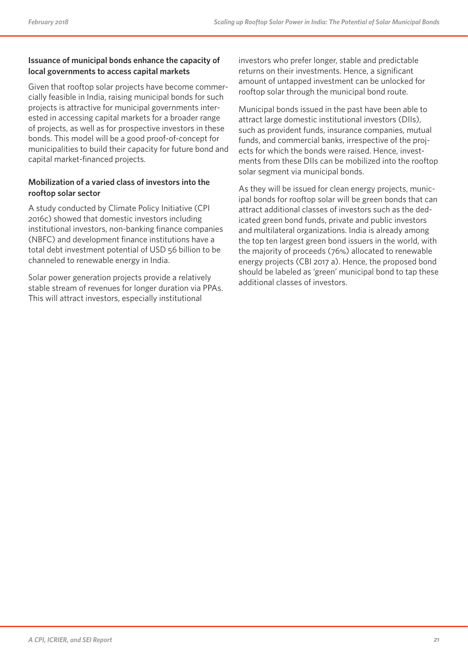#### **Issuance of municipal bonds enhance the capacity of local governments to access capital markets**

Given that rooftop solar projects have become commercially feasible in India, raising municipal bonds for such projects is attractive for municipal governments interested in accessing capital markets for a broader range of projects, as well as for prospective investors in these bonds. This model will be a good proof-of-concept for municipalities to build their capacity for future bond and capital market-financed projects.

#### **Mobilization of a varied class of investors into the rooftop solar sector**

A study conducted by Climate Policy Initiative (CPI 2016c) showed that domestic investors including institutional investors, non-banking finance companies (NBFC) and development finance institutions have a total debt investment potential of USD 56 billion to be channeled to renewable energy in India.

Solar power generation projects provide a relatively stable stream of revenues for longer duration via PPAs. This will attract investors, especially institutional

investors who prefer longer, stable and predictable returns on their investments. Hence, a significant amount of untapped investment can be unlocked for rooftop solar through the municipal bond route.

Municipal bonds issued in the past have been able to attract large domestic institutional investors (DIIs), such as provident funds, insurance companies, mutual funds, and commercial banks, irrespective of the projects for which the bonds were raised. Hence, investments from these DIIs can be mobilized into the rooftop solar segment via municipal bonds.

As they will be issued for clean energy projects, municipal bonds for rooftop solar will be green bonds that can attract additional classes of investors such as the dedicated green bond funds, private and public investors and multilateral organizations. India is already among the top ten largest green bond issuers in the world, with the majority of proceeds (76%) allocated to renewable energy projects (CBI 2017 a). Hence, the proposed bond should be labeled as 'green' municipal bond to tap these additional classes of investors.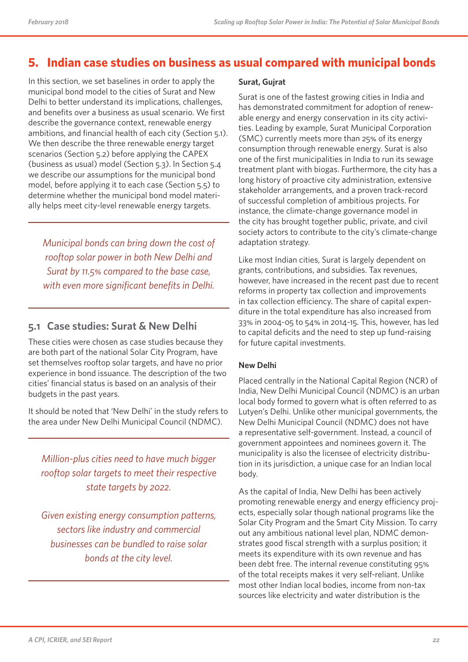## **5. Indian case studies on business as usual compared with municipal bonds**

In this section, we set baselines in order to apply the municipal bond model to the cities of Surat and New Delhi to better understand its implications, challenges, and benefits over a business as usual scenario. We first describe the governance context, renewable energy ambitions, and financial health of each city (Section 5.1). We then describe the three renewable energy target scenarios (Section 5.2) before applying the CAPEX (business as usual) model (Section 5.3). In Section 5.4 we describe our assumptions for the municipal bond model, before applying it to each case (Section 5.5) to determine whether the municipal bond model materially helps meet city-level renewable energy targets.

*Municipal bonds can bring down the cost of rooftop solar power in both New Delhi and Surat by 11.5% compared to the base case, with even more significant benefits in Delhi.* 

## **5.1 Case studies: Surat & New Delhi**

These cities were chosen as case studies because they are both part of the national Solar City Program, have set themselves rooftop solar targets, and have no prior experience in bond issuance. The description of the two cities' financial status is based on an analysis of their budgets in the past years.

It should be noted that 'New Delhi' in the study refers to the area under New Delhi Municipal Council (NDMC).

*Million-plus cities need to have much bigger rooftop solar targets to meet their respective state targets by 2022.*

*Given existing energy consumption patterns, sectors like industry and commercial businesses can be bundled to raise solar bonds at the city level.*

#### **Surat, Gujrat**

Surat is one of the fastest growing cities in India and has demonstrated commitment for adoption of renewable energy and energy conservation in its city activities. Leading by example, Surat Municipal Corporation (SMC) currently meets more than 25% of its energy consumption through renewable energy. Surat is also one of the first municipalities in India to run its sewage treatment plant with biogas. Furthermore, the city has a long history of proactive city administration, extensive stakeholder arrangements, and a proven track-record of successful completion of ambitious projects. For instance, the climate-change governance model in the city has brought together public, private, and civil society actors to contribute to the city's climate-change adaptation strategy.

Like most Indian cities, Surat is largely dependent on grants, contributions, and subsidies. Tax revenues, however, have increased in the recent past due to recent reforms in property tax collection and improvements in tax collection efficiency. The share of capital expenditure in the total expenditure has also increased from 33% in 2004-05 to 54% in 2014-15. This, however, has led to capital deficits and the need to step up fund-raising for future capital investments.

#### **New Delhi**

Placed centrally in the National Capital Region (NCR) of India, New Delhi Municipal Council (NDMC) is an urban local body formed to govern what is often referred to as Lutyen's Delhi. Unlike other municipal governments, the New Delhi Municipal Council (NDMC) does not have a representative self-government. Instead, a council of government appointees and nominees govern it. The municipality is also the licensee of electricity distribution in its jurisdiction, a unique case for an Indian local body.

As the capital of India, New Delhi has been actively promoting renewable energy and energy efficiency projects, especially solar though national programs like the Solar City Program and the Smart City Mission. To carry out any ambitious national level plan, NDMC demonstrates good fiscal strength with a surplus position; it meets its expenditure with its own revenue and has been debt free. The internal revenue constituting 95% of the total receipts makes it very self-reliant. Unlike most other Indian local bodies, income from non-tax sources like electricity and water distribution is the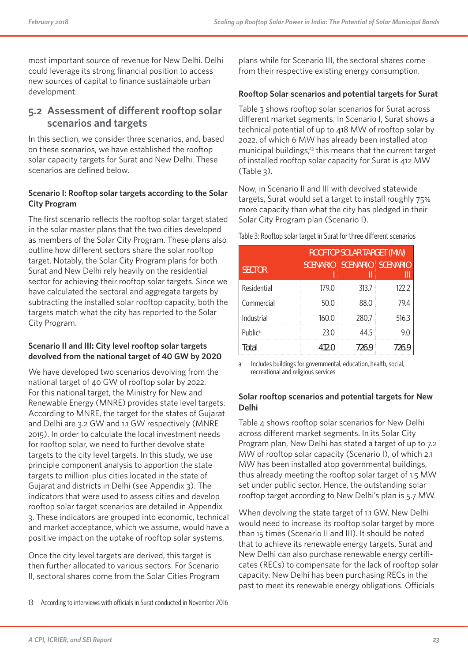most important source of revenue for New Delhi. Delhi could leverage its strong financial position to access new sources of capital to finance sustainable urban development.

### **5.2 Assessment of different rooftop solar scenarios and targets**

In this section, we consider three scenarios, and, based on these scenarios, we have established the rooftop solar capacity targets for Surat and New Delhi. These scenarios are defined below.

#### **Scenario I: Rooftop solar targets according to the Solar City Program**

The first scenario reflects the rooftop solar target stated in the solar master plans that the two cities developed as members of the Solar City Program. These plans also outline how different sectors share the solar rooftop target. Notably, the Solar City Program plans for both Surat and New Delhi rely heavily on the residential sector for achieving their rooftop solar targets. Since we have calculated the sectoral and aggregate targets by subtracting the installed solar rooftop capacity, both the targets match what the city has reported to the Solar City Program.

#### **Scenario II and III: City level rooftop solar targets devolved from the national target of 40 GW by 2020**

We have developed two scenarios devolving from the national target of 40 GW of rooftop solar by 2022. For this national target, the Ministry for New and Renewable Energy (MNRE) provides state level targets. According to MNRE, the target for the states of Gujarat and Delhi are 3.2 GW and 1.1 GW respectively (MNRE 2015). In order to calculate the local investment needs for rooftop solar, we need to further devolve state targets to the city level targets. In this study, we use principle component analysis to apportion the state targets to million-plus cities located in the state of Gujarat and districts in Delhi (see Appendix 3). The indicators that were used to assess cities and develop rooftop solar target scenarios are detailed in Appendix 3. These indicators are grouped into economic, technical and market acceptance, which we assume, would have a positive impact on the uptake of rooftop solar systems.

Once the city level targets are derived, this target is then further allocated to various sectors. For Scenario II, sectoral shares come from the Solar Cities Program plans while for Scenario III, the sectoral shares come from their respective existing energy consumption.

#### **Rooftop Solar scenarios and potential targets for Surat**

Table 3 shows rooftop solar scenarios for Surat across different market segments. In Scenario I, Surat shows a technical potential of up to 418 MW of rooftop solar by 2022, of which 6 MW has already been installed atop municipal buildings;<sup>13</sup> this means that the current target of installed rooftop solar capacity for Surat is 412 MW (Table 3).

Now, in Scenario II and III with devolved statewide targets, Surat would set a target to install roughly 75% more capacity than what the city has pledged in their Solar City Program plan (Scenario I).

Table 3: Rooftop solar target in Surat for three different scenarios

|                     | <b>ROOFTOP SOLAR TARGET (MW)</b> |                      |                 |  |
|---------------------|----------------------------------|----------------------|-----------------|--|
| <b>SECTOR</b>       | <b>SCENARIO</b>                  | <b>SCENARIO</b><br>Ш | <b>SCENARIO</b> |  |
| Residential         | 179.0                            | 313.7                | 122.2           |  |
| Commercial          | 50.0                             | 88.0                 | 79.4            |  |
| Industrial          | 160.0                            | 280.7                | 516.3           |  |
| Public <sup>a</sup> | 23.0                             | 44.5                 | 9.0             |  |
| Total               | 412.0                            | 726.9                | 726.9           |  |

a Includes buildings for governmental, education, health, social, recreational and religious services

#### **Solar rooftop scenarios and potential targets for New Delhi**

Table 4 shows rooftop solar scenarios for New Delhi across different market segments. In its Solar City Program plan, New Delhi has stated a target of up to 7.2 MW of rooftop solar capacity (Scenario I), of which 2.1 MW has been installed atop governmental buildings, thus already meeting the rooftop solar target of 1.5 MW set under public sector. Hence, the outstanding solar rooftop target according to New Delhi's plan is 5.7 MW.

When devolving the state target of 1.1 GW, New Delhi would need to increase its rooftop solar target by more than 15 times (Scenario II and III). It should be noted that to achieve its renewable energy targets, Surat and New Delhi can also purchase renewable energy certificates (RECs) to compensate for the lack of rooftop solar capacity. New Delhi has been purchasing RECs in the past to meet its renewable energy obligations. Officials

<sup>13</sup> According to interviews with officials in Surat conducted in November 2016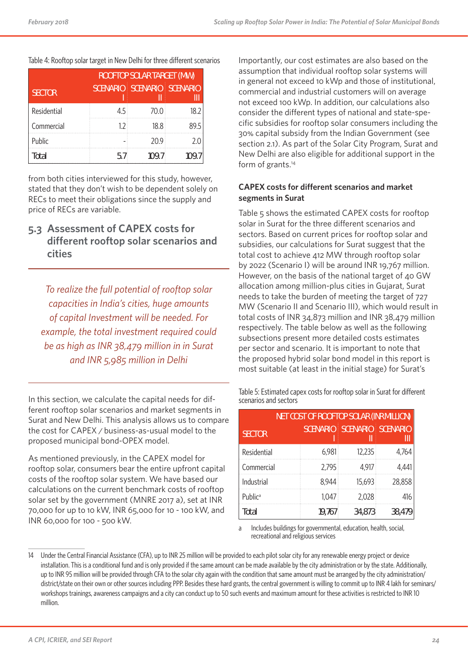|               | <b>ROOFTOP SOLAR TARGET (MW)</b> |                   |       |  |  |
|---------------|----------------------------------|-------------------|-------|--|--|
| <b>SECTOR</b> | <b>SCENARIO</b>                  | SCENARIO SCENARIO |       |  |  |
| Residential   | 4.5                              | 70.0              | 18.2  |  |  |
| Commercial    | 1.2 <sup>1</sup>                 | 18.8              | 89.5  |  |  |
| Public        |                                  | 20.9              | 2.0   |  |  |
| Total         | 5.7                              | 109.7             | 109.7 |  |  |

from both cities interviewed for this study, however, stated that they don't wish to be dependent solely on RECs to meet their obligations since the supply and price of RECs are variable.

### **5.3 Assessment of CAPEX costs for different rooftop solar scenarios and cities**

*To realize the full potential of rooftop solar capacities in India's cities, huge amounts of capital Investment will be needed. For example, the total investment required could be as high as INR 38,479 million in in Surat and INR 5,985 million in Delhi*

In this section, we calculate the capital needs for different rooftop solar scenarios and market segments in Surat and New Delhi. This analysis allows us to compare the cost for CAPEX / business-as-usual model to the proposed municipal bond-OPEX model.

As mentioned previously, in the CAPEX model for rooftop solar, consumers bear the entire upfront capital costs of the rooftop solar system. We have based our calculations on the current benchmark costs of rooftop solar set by the government (MNRE 2017 a), set at INR 70,000 for up to 10 kW, INR 65,000 for 10 - 100 kW, and INR 60,000 for 100 - 500 kW.

Importantly, our cost estimates are also based on the assumption that individual rooftop solar systems will in general not exceed 10 kWp and those of institutional, commercial and industrial customers will on average not exceed 100 kWp. In addition, our calculations also consider the different types of national and state-specific subsidies for rooftop solar consumers including the 30% capital subsidy from the Indian Government (see section 2.1). As part of the Solar City Program, Surat and New Delhi are also eligible for additional support in the form of grants.<sup>14</sup>

#### **CAPEX costs for different scenarios and market segments in Surat**

Table 5 shows the estimated CAPEX costs for rooftop solar in Surat for the three different scenarios and sectors. Based on current prices for rooftop solar and subsidies, our calculations for Surat suggest that the total cost to achieve 412 MW through rooftop solar by 2022 (Scenario I) will be around INR 19,767 million. However, on the basis of the national target of 40 GW allocation among million-plus cities in Gujarat, Surat needs to take the burden of meeting the target of 727 MW (Scenario II and Scenario III), which would result in total costs of INR 34,873 million and INR 38,479 million respectively. The table below as well as the following subsections present more detailed costs estimates per sector and scenario. It is important to note that the proposed hybrid solar bond model in this report is most suitable (at least in the initial stage) for Surat's

| Table 5: Estimated capex costs for rooftop solar in Surat for different |  |
|-------------------------------------------------------------------------|--|
| scenarios and sectors                                                   |  |

| <b>NET COST OF ROOFTOP SOLAR (INR MILLION)</b> |                 |                 |                      |  |  |  |
|------------------------------------------------|-----------------|-----------------|----------------------|--|--|--|
| <b>SECTOR</b>                                  | <b>SCENARIO</b> | <b>SCENARIO</b> | <b>SCENARIO</b><br>Ш |  |  |  |
| Residential                                    | 6,981           | 12,235          | 4,764                |  |  |  |
| Commercial                                     | 2,795           | 4,917           | 4,441                |  |  |  |
| Industrial                                     | 8,944           | 15,693          | 28,858               |  |  |  |
| Public <sup>a</sup>                            | 1,047           | 2,028           | 416                  |  |  |  |
| Total                                          | 19,767          | 34,873          | 38,479               |  |  |  |

a Includes buildings for governmental, education, health, social, recreational and religious services

<sup>14</sup> Under the Central Financial Assistance (CFA), up to INR 25 million will be provided to each pilot solar city for any renewable energy project or device installation. This is a conditional fund and is only provided if the same amount can be made available by the city administration or by the state. Additionally, up to INR 95 million will be provided through CFA to the solar city again with the condition that same amount must be arranged by the city administration/ district/state on their own or other sources including PPP. Besides these hard grants, the central government is willing to commit up to INR 4 lakh for seminars/ workshops trainings, awareness campaigns and a city can conduct up to 50 such events and maximum amount for these activities is restricted to INR 10 million.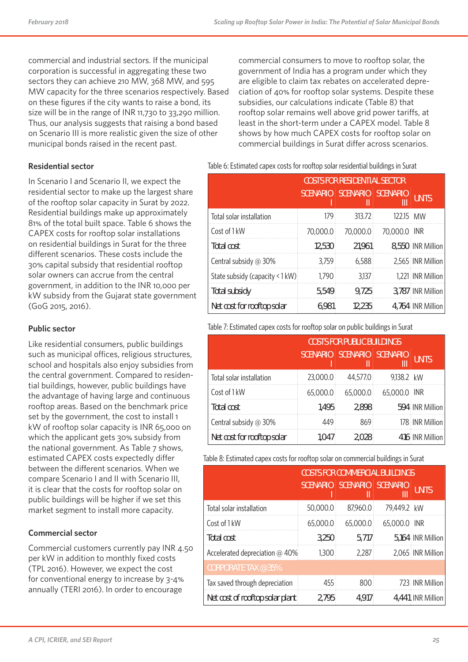commercial and industrial sectors. If the municipal corporation is successful in aggregating these two sectors they can achieve 210 MW, 368 MW, and 595 MW capacity for the three scenarios respectively. Based on these figures if the city wants to raise a bond, its size will be in the range of INR 11,730 to 33,290 million. Thus, our analysis suggests that raising a bond based on Scenario III is more realistic given the size of other municipal bonds raised in the recent past.

**Residential sector**

In Scenario I and Scenario II, we expect the residential sector to make up the largest share of the rooftop solar capacity in Surat by 2022. Residential buildings make up approximately 81% of the total built space. Table 6 shows the CAPEX costs for rooftop solar installations on residential buildings in Surat for the three different scenarios. These costs include the 30% capital subsidy that residential rooftop solar owners can accrue from the central government, in addition to the INR 10,000 per kW subsidy from the Gujarat state government (GoG 2015, 2016).

#### **Public sector**

Like residential consumers, public buildings such as municipal offices, religious structures, school and hospitals also enjoy subsidies from the central government. Compared to residential buildings, however, public buildings have the advantage of having large and continuous rooftop areas. Based on the benchmark price set by the government, the cost to install 1 kW of rooftop solar capacity is INR 65,000 on which the applicant gets 30% subsidy from the national government. As Table 7 shows, estimated CAPEX costs expectedly differ between the different scenarios. When we compare Scenario I and II with Scenario III, it is clear that the costs for rooftop solar on public buildings will be higher if we set this market segment to install more capacity.

#### **Commercial sector**

Commercial customers currently pay INR 4.50 per kW in addition to monthly fixed costs (TPL 2016). However, we expect the cost for conventional energy to increase by 3-4% annually (TERI 2016). In order to encourage

commercial consumers to move to rooftop solar, the government of India has a program under which they are eligible to claim tax rebates on accelerated depreciation of 40% for rooftop solar systems. Despite these subsidies, our calculations indicate (Table 8) that rooftop solar remains well above grid power tariffs, at least in the short-term under a CAPEX model. Table 8 shows by how much CAPEX costs for rooftop solar on commercial buildings in Surat differ across scenarios.

Table 6: Estimated capex costs for rooftop solar residential buildings in Surat

|                                 | <b>COSTS FOR RESIDENTIAL SECTOR</b> |                   |              |                   |
|---------------------------------|-------------------------------------|-------------------|--------------|-------------------|
|                                 | <b>SCENARIO</b>                     | SCENARIO SCENARIO | Ш            | <b>UNITS</b>      |
| Total solar installation        | 179                                 | 313.72            | 12215 MW     |                   |
| Cost of 1 kW                    | 70,000.0                            | 70,000.0          | 70,000.0 INR |                   |
| Total cost                      | 12,530                              | 21,961            |              | 8,550 INR Million |
| Central subsidy @ 30%           | 3,759                               | 6,588             |              | 2,565 INR Million |
| State subsidy (capacity < 1 kW) | 1,790                               | 3,137             |              | 1,221 INR Million |
| <b>Total subsidy</b>            | 5,549                               | 9,725             |              | 3,787 INR Million |
| Net cost for rooftop solar      | 6,981                               | 12,235            |              | 4,764 INR Million |

#### Table 7: Estimated capex costs for rooftop solar on public buildings in Surat

|                            | <b>COSTS FOR PUBLIC BUILDINGS</b> |                                   |              |                 |
|----------------------------|-----------------------------------|-----------------------------------|--------------|-----------------|
|                            |                                   | <b>SCENARIO SCENARIO SCENARIO</b> | Ш            | <b>UNITS</b>    |
| Total solar installation   | 23,000.0                          | 44,577.0                          | 9,138.2 kW   |                 |
| Cost of 1 kW               | 65,000.0                          | 65,000.0                          | 65,000.0 INR |                 |
| <b>Total cost</b>          | 1,495                             | 2,898                             |              | 594 INR Million |
| Central subsidy @ 30%      | 449                               | 869                               |              | 178 INR Million |
| Net cost for rooftop solar | 1,047                             | 2,028                             |              | 416 INR Million |
|                            |                                   |                                   |              |                 |

Table 8: Estimated capex costs for rooftop solar on commercial buildings in Surat

|                                 |                 | <b>COSTS FOR COMMERCIAL BUILDINGS</b> |                      |                   |
|---------------------------------|-----------------|---------------------------------------|----------------------|-------------------|
|                                 | <b>SCENARIO</b> | <b>SCENARIO</b>                       | <b>SCENARIO</b><br>Ш | <b>UNITS</b>      |
| Total solar installation        | 50,000.0        | 87,960.0                              | 79,449.2 kW          |                   |
| Cost of 1 kW                    | 65,000.0        | 65,000.0                              | 65,000.0 INR         |                   |
| <b>Total cost</b>               | 3,250           | 5,717                                 |                      | 5,164 INR Million |
| Accelerated depreciation @ 40%  | 1,300           | 2,287                                 |                      | 2,065 INR Million |
| <b>CORPORATE TAX @ 35%</b>      |                 |                                       |                      |                   |
| Tax saved through depreciation  | 455             | 800                                   |                      | 723 INR Million   |
| Net cost of rooftop solar plant | 2,795           | 4,917                                 |                      | 4,441 INR Million |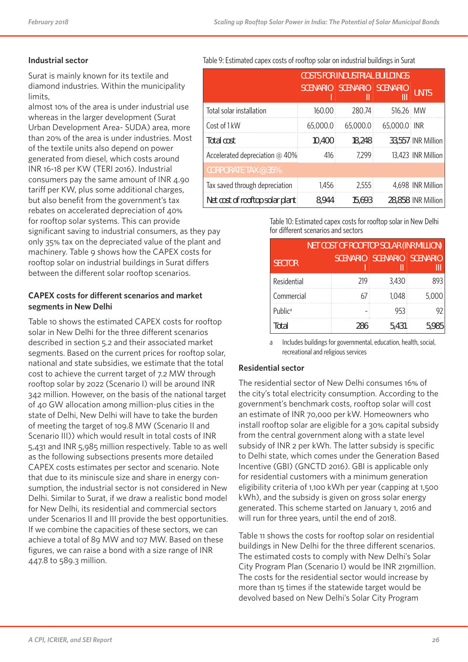#### **Industrial sector**

Surat is mainly known for its textile and diamond industries. Within the municipality limits,

almost 10% of the area is under industrial use whereas in the larger development (Surat Urban Development Area- SUDA) area, more than 20% of the area is under industries. Most of the textile units also depend on power generated from diesel, which costs around INR 16-18 per KW (TERI 2016). Industrial consumers pay the same amount of INR 4.90 tariff per KW, plus some additional charges, but also benefit from the government's tax rebates on accelerated depreciation of 40% for rooftop solar systems. This can provide significant saving to industrial consumers, as they pay only 35% tax on the depreciated value of the plant and machinery. Table 9 shows how the CAPEX costs for rooftop solar on industrial buildings in Surat differs between the different solar rooftop scenarios.

#### **CAPEX costs for different scenarios and market segments in New Delhi**

Table 10 shows the estimated CAPEX costs for rooftop solar in New Delhi for the three different scenarios described in section 5.2 and their associated market segments. Based on the current prices for rooftop solar, national and state subsidies, we estimate that the total cost to achieve the current target of 7.2 MW through rooftop solar by 2022 (Scenario I) will be around INR 342 million. However, on the basis of the national target of 40 GW allocation among million-plus cities in the state of Delhi, New Delhi will have to take the burden of meeting the target of 109.8 MW (Scenario II and Scenario III)) which would result in total costs of INR 5,431 and INR 5,985 million respectively. Table 10 as well as the following subsections presents more detailed CAPEX costs estimates per sector and scenario. Note that due to its miniscule size and share in energy consumption, the industrial sector is not considered in New Delhi. Similar to Surat, if we draw a realistic bond model for New Delhi, its residential and commercial sectors under Scenarios II and III provide the best opportunities. If we combine the capacities of these sectors, we can achieve a total of 89 MW and 107 MW. Based on these figures, we can raise a bond with a size range of INR 447.8 to 589.3 million.

Table 9: Estimated capex costs of rooftop solar on industrial buildings in Surat

|                                 | <b>COSTS FOR INDUSTRIAL BUILDINGS</b> |                 |                      |                    |
|---------------------------------|---------------------------------------|-----------------|----------------------|--------------------|
|                                 | <b>SCENARIO</b>                       | <b>SCENARIO</b> | <b>SCENARIO</b><br>Ш | <b>UNITS</b>       |
| Total solar installation        | 160.00                                | 280.74          | 516.26 MW            |                    |
| Cost of 1 kW                    | 65,000.0                              | 65,000.0        | 65,000.0 INR         |                    |
| Total cost                      | 10,400                                | 18,248          |                      | 33,557 INR Million |
| Accelerated depreciation @ 40%  | 416                                   | 7,299           |                      | 13,423 INR Million |
| <b>CORPORATE TAX @ 35%</b>      |                                       |                 |                      |                    |
| Tax saved through depreciation  | 1,456                                 | 2,555           |                      | 4,698 INR Million  |
| Net cost of rooftop solar plant | 8,944                                 | 15,693          |                      | 28,858 INR Million |

Table 10: Estimated capex costs for rooftop solar in New Delhi for different scenarios and sectors

| <b>NET COST OF ROOFTOP SOLAR (INR MILLION)</b> |                 |                 |                 |  |  |
|------------------------------------------------|-----------------|-----------------|-----------------|--|--|
| <b>SECTOR</b>                                  | <b>SCENARIO</b> | <b>SCENARIO</b> | <b>SCENARIO</b> |  |  |
| Residential                                    | 219             | 3,430           | 893             |  |  |
| Commercial                                     | 67              | 1,048           | 5,000           |  |  |
| Public <sup>a</sup>                            |                 | 953             | 92              |  |  |
| Total                                          | 286             | 5,431           | 5,985           |  |  |

a Includes buildings for governmental, education, health, social, recreational and religious services

#### **Residential sector**

The residential sector of New Delhi consumes 16% of the city's total electricity consumption. According to the government's benchmark costs, rooftop solar will cost an estimate of INR 70,000 per kW. Homeowners who install rooftop solar are eligible for a 30% capital subsidy from the central government along with a state level subsidy of INR 2 per kWh. The latter subsidy is specific to Delhi state, which comes under the Generation Based Incentive (GBI) (GNCTD 2016). GBI is applicable only for residential customers with a minimum generation eligibility criteria of 1,100 kWh per year (capping at 1,500 kWh), and the subsidy is given on gross solar energy generated. This scheme started on January 1, 2016 and will run for three years, until the end of 2018.

Table 11 shows the costs for rooftop solar on residential buildings in New Delhi for the three different scenarios. The estimated costs to comply with New Delhi's Solar City Program Plan (Scenario I) would be INR 219million. The costs for the residential sector would increase by more than 15 times if the statewide target would be devolved based on New Delhi's Solar City Program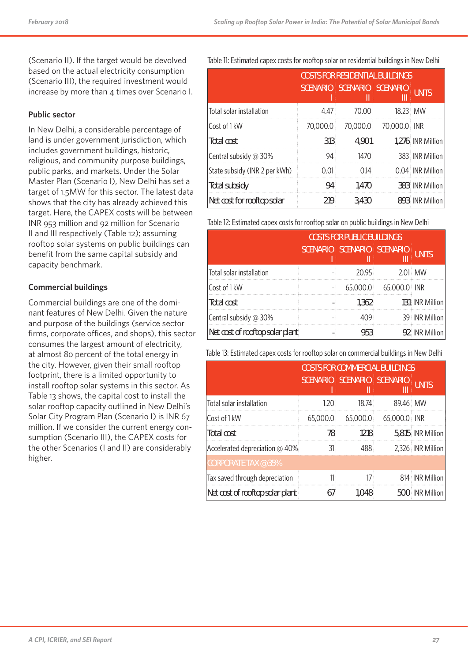(Scenario II). If the target would be devolved based on the actual electricity consumption (Scenario III), the required investment would increase by more than 4 times over Scenario I.

#### **Public sector**

In New Delhi, a considerable percentage of land is under government jurisdiction, which includes government buildings, historic, religious, and community purpose buildings, public parks, and markets. Under the Solar Master Plan (Scenario I), New Delhi has set a target of 1.5MW for this sector. The latest data shows that the city has already achieved this target. Here, the CAPEX costs will be between INR 953 million and 92 million for Scenario II and III respectively (Table 12); assuming rooftop solar systems on public buildings can benefit from the same capital subsidy and capacity benchmark.

#### **Commercial buildings**

Commercial buildings are one of the dominant features of New Delhi. Given the nature and purpose of the buildings (service sector firms, corporate offices, and shops), this sector consumes the largest amount of electricity, at almost 80 percent of the total energy in the city. However, given their small rooftop footprint, there is a limited opportunity to install rooftop solar systems in this sector. As Table 13 shows, the capital cost to install the solar rooftop capacity outlined in New Delhi's Solar City Program Plan (Scenario I) is INR 67 million. If we consider the current energy consumption (Scenario III), the CAPEX costs for the other Scenarios (I and II) are considerably higher.

Table 11: Estimated capex costs for rooftop solar on residential buildings in New Delhi

|                               | <b>COSTS FOR RESIDENTIAL BUILDINGS</b> |                   |              |                   |
|-------------------------------|----------------------------------------|-------------------|--------------|-------------------|
|                               | <b>SCENARIO</b>                        | SCENARIO SCENARIO | Ш            | <b>UNITS</b>      |
| Total solar installation      | 4.47                                   | 70.00             | 18.23 MW     |                   |
| Cost of 1 kW                  | 70,000.0                               | 70,000.0          | 70,000.0 INR |                   |
| <b>Total cost</b>             | 313                                    | 4,901             |              | 1,276 INR Million |
| Central subsidy @ 30%         | 94                                     | 1470              |              | 383 INR Million   |
| State subsidy (INR 2 per kWh) | 0.01                                   | 0.14              |              | 0.04 INR Million  |
| <b>Total subsidy</b>          | 94                                     | 1,470             |              | 383 INR Million   |
| Net cost for rooftop solar    | 219                                    | 3,430             |              | 893 INR Million   |

Table 12: Estimated capex costs for rooftop solar on public buildings in New Delhi

|                                 | <b>COSTS FOR PUBLIC BUILDINGS</b> |                            |              |                 |
|---------------------------------|-----------------------------------|----------------------------|--------------|-----------------|
|                                 |                                   | SCENARIO SCENARIO SCENARIO | Ш            | <b>UNITS</b>    |
| Total solar installation        |                                   | 20.95                      |              | $2.01$ MW       |
| Cost of 1 kW                    |                                   | 65,000.0                   | 65,000.0 INR |                 |
| Total cost                      |                                   | 1,362                      |              | 131 INR Million |
| Central subsidy @ 30%           |                                   | 409                        |              | 39 INR Million  |
| Net cost of rooftop solar plant |                                   | 953                        |              | 92 INR Million  |

Table 13: Estimated capex costs for rooftop solar on commercial buildings in New Delhi

|                                 |          | <b>COSTS FOR COMMERCIAL BUILDINGS</b> |              |                   |
|---------------------------------|----------|---------------------------------------|--------------|-------------------|
|                                 |          | SCENARIO SCENARIO SCENARIO            | Ш            | UNITS             |
| Total solar installation        | 1.20     | 18.74                                 | 89.46 MW     |                   |
| Cost of 1 kW                    | 65,000.0 | 65,000.0                              | 65,000.0 INR |                   |
| <b>Total cost</b>               | 78       | 1218                                  |              | 5,815 INR Million |
| Accelerated depreciation @ 40%  | 31       | 488                                   |              | 2,326 INR Million |
| CORPORATE TAX $@35\%$           |          |                                       |              |                   |
| Tax saved through depreciation  | 11       | 17                                    |              | 814 INR Million   |
| Net cost of rooftop solar plant | 67       | 1,048                                 |              | 500 INR Million   |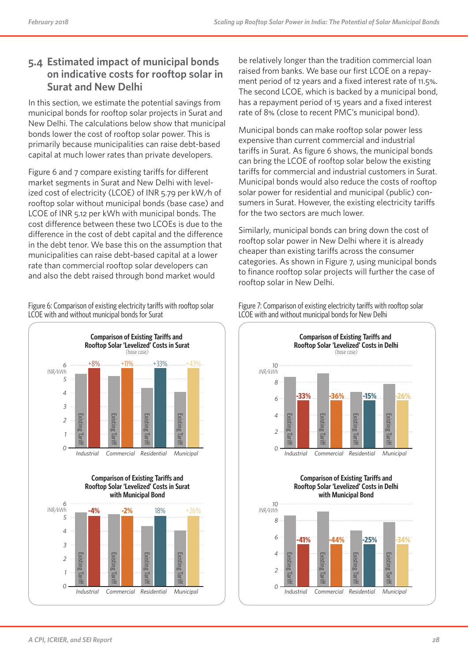## **5.4 Estimated impact of municipal bonds on indicative costs for rooftop solar in Surat and New Delhi**

In this section, we estimate the potential savings from municipal bonds for rooftop solar projects in Surat and New Delhi. The calculations below show that municipal bonds lower the cost of rooftop solar power. This is primarily because municipalities can raise debt-based capital at much lower rates than private developers.

Figure 6 and 7 compare existing tariffs for different market segments in Surat and New Delhi with levelized cost of electricity (LCOE) of INR 5.79 per kW/h of rooftop solar without municipal bonds (base case) and LCOE of INR 5.12 per kWh with municipal bonds. The cost difference between these two LCOEs is due to the difference in the cost of debt capital and the difference in the debt tenor. We base this on the assumption that municipalities can raise debt-based capital at a lower rate than commercial rooftop solar developers can and also the debt raised through bond market would

Figure 6: Comparison of existing electricity tariffs with rooftop solar LCOE with and without municipal bonds for Surat







be relatively longer than the tradition commercial loan raised from banks. We base our first LCOE on a repayment period of 12 years and a fixed interest rate of 11.5%. The second LCOE, which is backed by a municipal bond, has a repayment period of 15 years and a fixed interest rate of 8% (close to recent PMC's municipal bond).

Municipal bonds can make rooftop solar power less expensive than current commercial and industrial tariffs in Surat. As figure 6 shows, the municipal bonds can bring the LCOE of rooftop solar below the existing tariffs for commercial and industrial customers in Surat. Municipal bonds would also reduce the costs of rooftop solar power for residential and municipal (public) consumers in Surat. However, the existing electricity tariffs for the two sectors are much lower.

Similarly, municipal bonds can bring down the cost of rooftop solar power in New Delhi where it is already cheaper than existing tariffs across the consumer categories. As shown in Figure 7, using municipal bonds to finance rooftop solar projects will further the case of rooftop solar in New Delhi.



*Industrial Commercial Residential Municipal* 

Figure 7: Comparison of existing electricity tariffs with rooftop solar LCOE with and without municipal bonds for New Delhi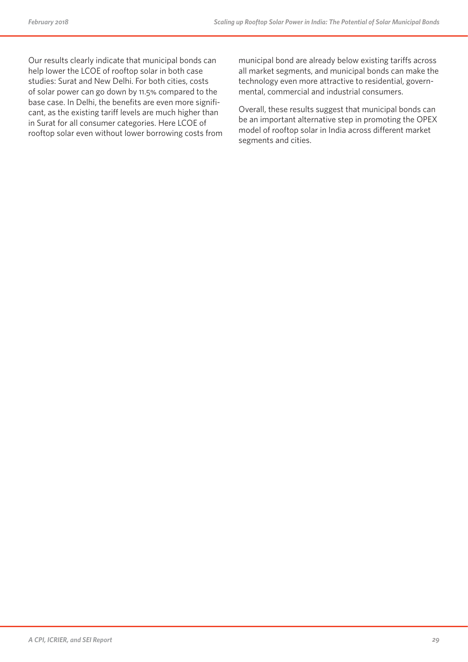Our results clearly indicate that municipal bonds can help lower the LCOE of rooftop solar in both case studies: Surat and New Delhi. For both cities, costs of solar power can go down by 11.5% compared to the base case. In Delhi, the benefits are even more significant, as the existing tariff levels are much higher than in Surat for all consumer categories. Here LCOE of rooftop solar even without lower borrowing costs from municipal bond are already below existing tariffs across all market segments, and municipal bonds can make the technology even more attractive to residential, governmental, commercial and industrial consumers.

Overall, these results suggest that municipal bonds can be an important alternative step in promoting the OPEX model of rooftop solar in India across different market segments and cities.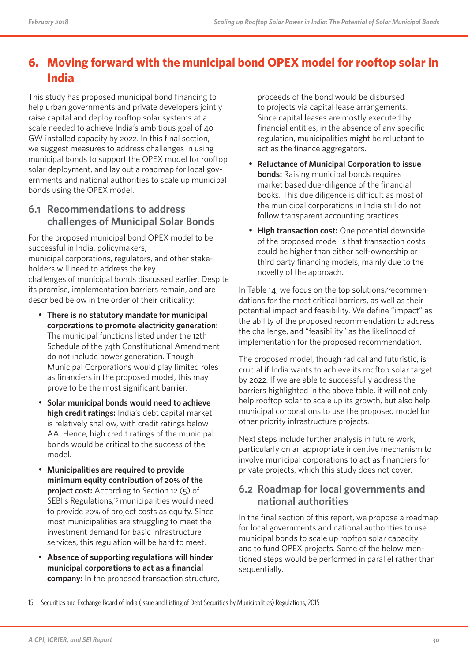## **6. Moving forward with the municipal bond OPEX model for rooftop solar in India**

This study has proposed municipal bond financing to help urban governments and private developers jointly raise capital and deploy rooftop solar systems at a scale needed to achieve India's ambitious goal of 40 GW installed capacity by 2022. In this final section, we suggest measures to address challenges in using municipal bonds to support the OPEX model for rooftop solar deployment, and lay out a roadmap for local governments and national authorities to scale up municipal bonds using the OPEX model.

### **6.1 Recommendations to address challenges of Municipal Solar Bonds**

For the proposed municipal bond OPEX model to be successful in India, policymakers,

municipal corporations, regulators, and other stakeholders will need to address the key

challenges of municipal bonds discussed earlier. Despite its promise, implementation barriers remain, and are described below in the order of their criticality:

- **There is no statutory mandate for municipal corporations to promote electricity generation:** The municipal functions listed under the 12th Schedule of the 74th Constitutional Amendment do not include power generation. Though Municipal Corporations would play limited roles as financiers in the proposed model, this may prove to be the most significant barrier.
- **Solar municipal bonds would need to achieve high credit ratings:** India's debt capital market is relatively shallow, with credit ratings below AA. Hence, high credit ratings of the municipal bonds would be critical to the success of the model.
- **Municipalities are required to provide minimum equity contribution of 20% of the project cost:** According to Section 12 (5) of SEBI's Regulations,<sup>15</sup> municipalities would need to provide 20% of project costs as equity. Since most municipalities are struggling to meet the investment demand for basic infrastructure services, this regulation will be hard to meet.
- **Absence of supporting regulations will hinder municipal corporations to act as a financial company:** In the proposed transaction structure,

proceeds of the bond would be disbursed to projects via capital lease arrangements. Since capital leases are mostly executed by financial entities, in the absence of any specific regulation, municipalities might be reluctant to act as the finance aggregators.

- **Reluctance of Municipal Corporation to issue bonds:** Raising municipal bonds requires market based due-diligence of the financial books. This due diligence is difficult as most of the municipal corporations in India still do not follow transparent accounting practices.
- **High transaction cost:** One potential downside of the proposed model is that transaction costs could be higher than either self-ownership or third party financing models, mainly due to the novelty of the approach.

In Table 14, we focus on the top solutions/recommendations for the most critical barriers, as well as their potential impact and feasibility. We define "impact" as the ability of the proposed recommendation to address the challenge, and "feasibility" as the likelihood of implementation for the proposed recommendation.

The proposed model, though radical and futuristic, is crucial if India wants to achieve its rooftop solar target by 2022. If we are able to successfully address the barriers highlighted in the above table, it will not only help rooftop solar to scale up its growth, but also help municipal corporations to use the proposed model for other priority infrastructure projects.

Next steps include further analysis in future work, particularly on an appropriate incentive mechanism to involve municipal corporations to act as financiers for private projects, which this study does not cover.

## **6.2 Roadmap for local governments and national authorities**

In the final section of this report, we propose a roadmap for local governments and national authorities to use municipal bonds to scale up rooftop solar capacity and to fund OPEX projects. Some of the below mentioned steps would be performed in parallel rather than sequentially.

<sup>15</sup> Securities and Exchange Board of India (Issue and Listing of Debt Securities by Municipalities) Regulations, 2015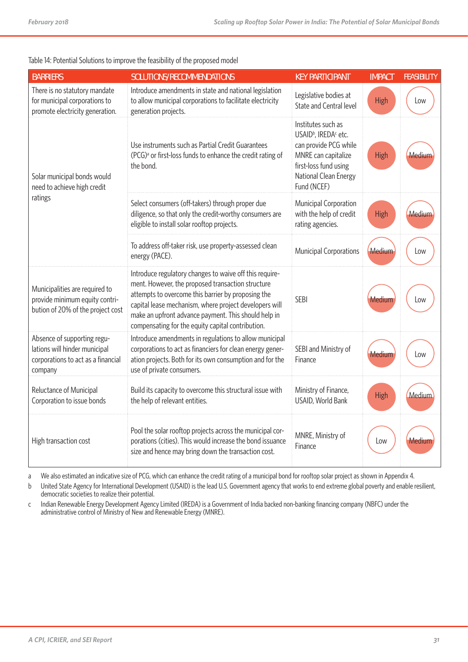#### Table 14: Potential Solutions to improve the feasibility of the proposed model

| <b>BARRIERS</b>                                                                                               | SOLUTIONS/RECOMMENDATIONS                                                                                                                                                                                                                                                                                                                 | <b>KEY PARTICIPANT</b>                                                                                                                                                              | <b>IMPACT</b> | <b>FEASIBILITY</b> |
|---------------------------------------------------------------------------------------------------------------|-------------------------------------------------------------------------------------------------------------------------------------------------------------------------------------------------------------------------------------------------------------------------------------------------------------------------------------------|-------------------------------------------------------------------------------------------------------------------------------------------------------------------------------------|---------------|--------------------|
| There is no statutory mandate<br>for municipal corporations to<br>promote electricity generation.             | Introduce amendments in state and national legislation<br>to allow municipal corporations to facilitate electricity<br>generation projects.                                                                                                                                                                                               | Legislative bodies at<br>State and Central level                                                                                                                                    | <b>High</b>   | Low                |
| Solar municipal bonds would<br>need to achieve high credit                                                    | Use instruments such as Partial Credit Guarantees<br>(PCG) <sup>a</sup> or first-loss funds to enhance the credit rating of<br>the bond.                                                                                                                                                                                                  | Institutes such as<br>USAID <sup>b</sup> , IREDA <sup>c</sup> etc.<br>can provide PCG while<br>MNRE can capitalize<br>first-loss fund using<br>National Clean Energy<br>Fund (NCEF) | <b>High</b>   | Medium             |
| ratings                                                                                                       | Select consumers (off-takers) through proper due<br>diligence, so that only the credit-worthy consumers are<br>eligible to install solar rooftop projects.                                                                                                                                                                                | Municipal Corporation<br>with the help of credit<br>rating agencies.                                                                                                                | <b>High</b>   | Medium             |
|                                                                                                               | To address off-taker risk, use property-assessed clean<br>energy (PACE).                                                                                                                                                                                                                                                                  | Municipal Corporations                                                                                                                                                              | Medium        | Low                |
| Municipalities are required to<br>provide minimum equity contri-<br>bution of 20% of the project cost         | Introduce regulatory changes to waive off this require-<br>ment. However, the proposed transaction structure<br>attempts to overcome this barrier by proposing the<br>capital lease mechanism, where project developers will<br>make an upfront advance payment. This should help in<br>compensating for the equity capital contribution. | <b>SEBI</b>                                                                                                                                                                         | Medium        | Low                |
| Absence of supporting regu-<br>lations will hinder municipal<br>corporations to act as a financial<br>company | Introduce amendments in regulations to allow municipal<br>corporations to act as financiers for clean energy gener-<br>ation projects. Both for its own consumption and for the<br>use of private consumers.                                                                                                                              | SEBI and Ministry of<br>Finance                                                                                                                                                     | Medium        | Low                |
| Reluctance of Municipal<br>Corporation to issue bonds                                                         | Build its capacity to overcome this structural issue with<br>the help of relevant entities.                                                                                                                                                                                                                                               | Ministry of Finance,<br>USAID, World Bank                                                                                                                                           | <b>High</b>   | Medium             |
| High transaction cost                                                                                         | Pool the solar rooftop projects across the municipal cor-<br>porations (cities). This would increase the bond issuance<br>size and hence may bring down the transaction cost.                                                                                                                                                             | MNRE, Ministry of<br>Finance                                                                                                                                                        | Low           | Mediun             |

a We also estimated an indicative size of PCG, which can enhance the credit rating of a municipal bond for rooftop solar project as shown in Appendix 4.

b United State Agency for International Development (USAID) is the lead U.S. Government agency that works to end extreme global poverty and enable resilient, democratic societies to realize their potential.

c Indian Renewable Energy Development Agency Limited (IREDA) is a Government of India backed non-banking financing company (NBFC) under the administrative control of Ministry of New and Renewable Energy (MNRE).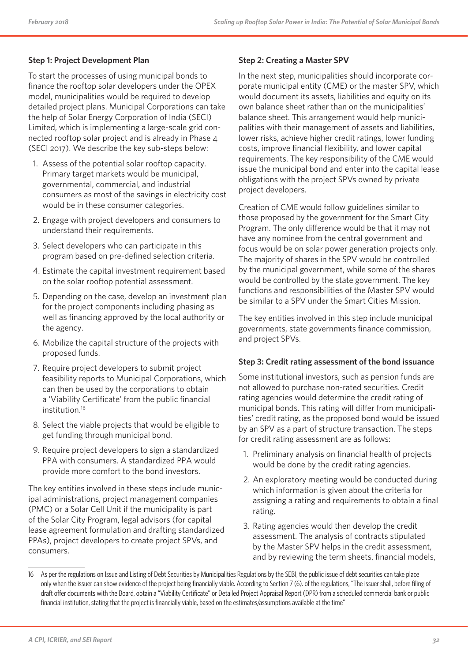#### **Step 1: Project Development Plan**

To start the processes of using municipal bonds to finance the rooftop solar developers under the OPEX model, municipalities would be required to develop detailed project plans. Municipal Corporations can take the help of Solar Energy Corporation of India (SECI) Limited, which is implementing a large-scale grid connected rooftop solar project and is already in Phase 4 (SECI 2017). We describe the key sub-steps below:

- 1. Assess of the potential solar rooftop capacity. Primary target markets would be municipal, governmental, commercial, and industrial consumers as most of the savings in electricity cost would be in these consumer categories.
- 2. Engage with project developers and consumers to understand their requirements.
- 3. Select developers who can participate in this program based on pre-defined selection criteria.
- 4. Estimate the capital investment requirement based on the solar rooftop potential assessment.
- 5. Depending on the case, develop an investment plan for the project components including phasing as well as financing approved by the local authority or the agency.
- 6. Mobilize the capital structure of the projects with proposed funds.
- 7. Require project developers to submit project feasibility reports to Municipal Corporations, which can then be used by the corporations to obtain a 'Viability Certificate' from the public financial institution.<sup>16</sup>
- 8. Select the viable projects that would be eligible to get funding through municipal bond.
- 9. Require project developers to sign a standardized PPA with consumers. A standardized PPA would provide more comfort to the bond investors.

The key entities involved in these steps include municipal administrations, project management companies (PMC) or a Solar Cell Unit if the municipality is part of the Solar City Program, legal advisors (for capital lease agreement formulation and drafting standardized PPAs), project developers to create project SPVs, and consumers.

#### **Step 2: Creating a Master SPV**

In the next step, municipalities should incorporate corporate municipal entity (CME) or the master SPV, which would document its assets, liabilities and equity on its own balance sheet rather than on the municipalities' balance sheet. This arrangement would help municipalities with their management of assets and liabilities, lower risks, achieve higher credit ratings, lower funding costs, improve financial flexibility, and lower capital requirements. The key responsibility of the CME would issue the municipal bond and enter into the capital lease obligations with the project SPVs owned by private project developers.

Creation of CME would follow guidelines similar to those proposed by the government for the Smart City Program. The only difference would be that it may not have any nominee from the central government and focus would be on solar power generation projects only. The majority of shares in the SPV would be controlled by the municipal government, while some of the shares would be controlled by the state government. The key functions and responsibilities of the Master SPV would be similar to a SPV under the Smart Cities Mission.

The key entities involved in this step include municipal governments, state governments finance commission, and project SPVs.

#### **Step 3: Credit rating assessment of the bond issuance**

Some institutional investors, such as pension funds are not allowed to purchase non-rated securities. Credit rating agencies would determine the credit rating of municipal bonds. This rating will differ from municipalities' credit rating, as the proposed bond would be issued by an SPV as a part of structure transaction. The steps for credit rating assessment are as follows:

- 1. Preliminary analysis on financial health of projects would be done by the credit rating agencies.
- 2. An exploratory meeting would be conducted during which information is given about the criteria for assigning a rating and requirements to obtain a final rating.
- 3. Rating agencies would then develop the credit assessment. The analysis of contracts stipulated by the Master SPV helps in the credit assessment, and by reviewing the term sheets, financial models,

<sup>16</sup> As per the regulations on Issue and Listing of Debt Securities by Municipalities Regulations by the SEBI, the public issue of debt securities can take place only when the issuer can show evidence of the project being financially viable. According to Section 7 (6). of the regulations, "The issuer shall, before filing of draft offer documents with the Board, obtain a "Viability Certificate" or Detailed Project Appraisal Report (DPR) from a scheduled commercial bank or public financial institution, stating that the project is financially viable, based on the estimates/assumptions available at the time"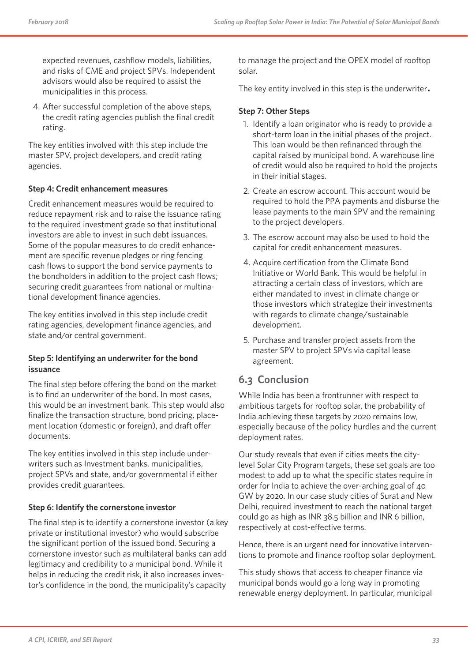expected revenues, cashflow models, liabilities, and risks of CME and project SPVs. Independent advisors would also be required to assist the municipalities in this process.

4. After successful completion of the above steps, the credit rating agencies publish the final credit rating.

The key entities involved with this step include the master SPV, project developers, and credit rating agencies.

#### **Step 4: Credit enhancement measures**

Credit enhancement measures would be required to reduce repayment risk and to raise the issuance rating to the required investment grade so that institutional investors are able to invest in such debt issuances. Some of the popular measures to do credit enhancement are specific revenue pledges or ring fencing cash flows to support the bond service payments to the bondholders in addition to the project cash flows; securing credit guarantees from national or multinational development finance agencies.

The key entities involved in this step include credit rating agencies, development finance agencies, and state and/or central government.

#### **Step 5: Identifying an underwriter for the bond issuance**

The final step before offering the bond on the market is to find an underwriter of the bond. In most cases, this would be an investment bank. This step would also finalize the transaction structure, bond pricing, placement location (domestic or foreign), and draft offer documents.

The key entities involved in this step include underwriters such as Investment banks, municipalities, project SPVs and state, and/or governmental if either provides credit guarantees.

#### **Step 6: Identify the cornerstone investor**

The final step is to identify a cornerstone investor (a key private or institutional investor) who would subscribe the significant portion of the issued bond. Securing a cornerstone investor such as multilateral banks can add legitimacy and credibility to a municipal bond. While it helps in reducing the credit risk, it also increases investor's confidence in the bond, the municipality's capacity

to manage the project and the OPEX model of rooftop solar.

The key entity involved in this step is the underwriter*.*

#### **Step 7: Other Steps**

- 1. Identify a loan originator who is ready to provide a short-term loan in the initial phases of the project. This loan would be then refinanced through the capital raised by municipal bond. A warehouse line of credit would also be required to hold the projects in their initial stages.
- 2. Create an escrow account. This account would be required to hold the PPA payments and disburse the lease payments to the main SPV and the remaining to the project developers.
- 3. The escrow account may also be used to hold the capital for credit enhancement measures.
- 4. Acquire certification from the Climate Bond Initiative or World Bank. This would be helpful in attracting a certain class of investors, which are either mandated to invest in climate change or those investors which strategize their investments with regards to climate change/sustainable development.
- 5. Purchase and transfer project assets from the master SPV to project SPVs via capital lease agreement.

## **6.3 Conclusion**

While India has been a frontrunner with respect to ambitious targets for rooftop solar, the probability of India achieving these targets by 2020 remains low, especially because of the policy hurdles and the current deployment rates.

Our study reveals that even if cities meets the citylevel Solar City Program targets, these set goals are too modest to add up to what the specific states require in order for India to achieve the over-arching goal of 40 GW by 2020. In our case study cities of Surat and New Delhi, required investment to reach the national target could go as high as INR 38.5 billion and INR 6 billion, respectively at cost-effective terms.

Hence, there is an urgent need for innovative interventions to promote and finance rooftop solar deployment.

This study shows that access to cheaper finance via municipal bonds would go a long way in promoting renewable energy deployment. In particular, municipal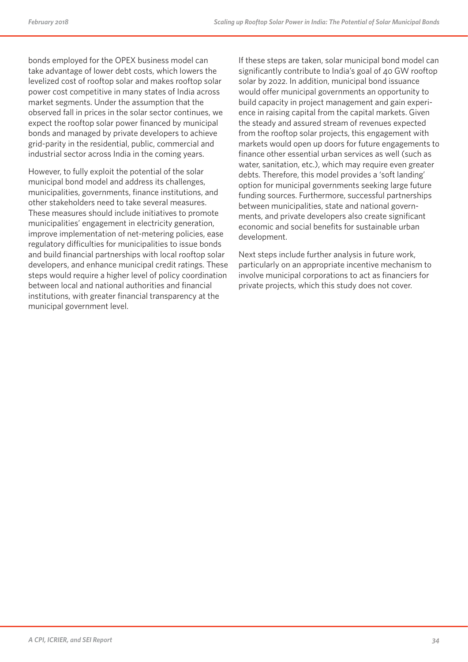bonds employed for the OPEX business model can take advantage of lower debt costs, which lowers the levelized cost of rooftop solar and makes rooftop solar power cost competitive in many states of India across market segments. Under the assumption that the observed fall in prices in the solar sector continues, we expect the rooftop solar power financed by municipal bonds and managed by private developers to achieve grid-parity in the residential, public, commercial and industrial sector across India in the coming years.

However, to fully exploit the potential of the solar municipal bond model and address its challenges, municipalities, governments, finance institutions, and other stakeholders need to take several measures. These measures should include initiatives to promote municipalities' engagement in electricity generation, improve implementation of net-metering policies, ease regulatory difficulties for municipalities to issue bonds and build financial partnerships with local rooftop solar developers, and enhance municipal credit ratings. These steps would require a higher level of policy coordination between local and national authorities and financial institutions, with greater financial transparency at the municipal government level.

If these steps are taken, solar municipal bond model can significantly contribute to India's goal of 40 GW rooftop solar by 2022. In addition, municipal bond issuance would offer municipal governments an opportunity to build capacity in project management and gain experience in raising capital from the capital markets. Given the steady and assured stream of revenues expected from the rooftop solar projects, this engagement with markets would open up doors for future engagements to finance other essential urban services as well (such as water, sanitation, etc.), which may require even greater debts. Therefore, this model provides a 'soft landing' option for municipal governments seeking large future funding sources. Furthermore, successful partnerships between municipalities, state and national governments, and private developers also create significant economic and social benefits for sustainable urban development.

Next steps include further analysis in future work, particularly on an appropriate incentive mechanism to involve municipal corporations to act as financiers for private projects, which this study does not cover.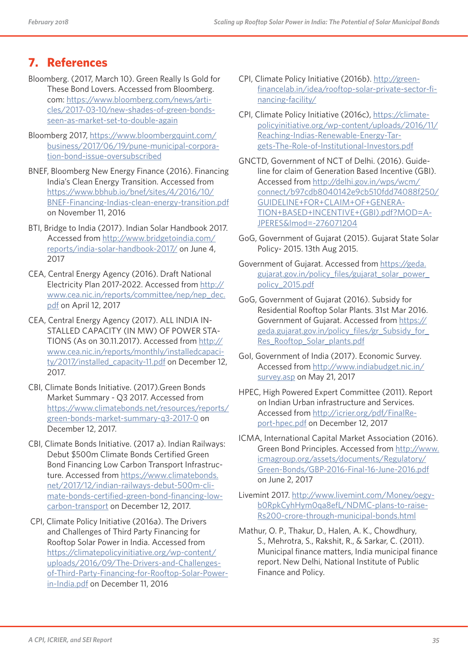## **7. References**

- Bloomberg. (2017, March 10). Green Really Is Gold for These Bond Lovers. Accessed from Bloomberg. com: https://www.bloomberg.com/news/articles/2017-03-10/new-shades-of-green-bondsseen-as-market-set-to-double-again
- Bloomberg 2017, https://www.bloombergquint.com/ business/2017/06/19/pune-municipal-corporation-bond-issue-oversubscribed
- BNEF, Bloomberg New Energy Finance (2016). Financing India's Clean Energy Transition. Accessed from https://www.bbhub.io/bnef/sites/4/2016/10/ BNEF-Financing-Indias-clean-energy-transition.pdf on November 11, 2016
- BTI, Bridge to India (2017). Indian Solar Handbook 2017. Accessed from http://www.bridgetoindia.com/ reports/india-solar-handbook-2017/ on June 4, 2017
- CEA, Central Energy Agency (2016). Draft National Electricity Plan 2017-2022. Accessed from http:// www.cea.nic.in/reports/committee/nep/nep\_dec. pdf on April 12, 2017
- CEA, Central Energy Agency (2017). ALL INDIA IN-STALLED CAPACITY (IN MW) OF POWER STA-TIONS (As on 30.11.2017). Accessed from http:// www.cea.nic.in/reports/monthly/installedcapacity/2017/installed\_capacity-11.pdf on December 12, 2017.
- CBI, Climate Bonds Initiative. (2017).Green Bonds Market Summary - Q3 2017. Accessed from https://www.climatebonds.net/resources/reports/ green-bonds-market-summary-q3-2017-0 on December 12, 2017.
- CBI, Climate Bonds Initiative. (2017 a). Indian Railways: Debut \$500m Climate Bonds Certified Green Bond Financing Low Carbon Transport Infrastructure. Accessed from https://www.climatebonds. net/2017/12/indian-railways-debut-500m-climate-bonds-certified-green-bond-financing-lowcarbon-transport on December 12, 2017.
- CPI, Climate Policy Initiative (2016a). The Drivers and Challenges of Third Party Financing for Rooftop Solar Power in India. Accessed from https://climatepolicyinitiative.org/wp-content/ uploads/2016/09/The-Drivers-and-Challengesof-Third-Party-Financing-for-Rooftop-Solar-Powerin-India.pdf on December 11, 2016
- CPI, Climate Policy Initiative (2016b). http://greenfinancelab.in/idea/rooftop-solar-private-sector-financing-facility/
- CPI, Climate Policy Initiative (2016c), https://climatepolicyinitiative.org/wp-content/uploads/2016/11/ Reaching-Indias-Renewable-Energy-Targets-The-Role-of-Institutional-Investors.pdf
- GNCTD, Government of NCT of Delhi. (2016). Guideline for claim of Generation Based Incentive (GBI). Accessed from http://delhi.gov.in/wps/wcm/ connect/b97cdb8040142e9cb510fdd74088f250/ GUIDELINE+FOR+CLAIM+OF+GENERA-TION+BASED+INCENTIVE+(GBI).pdf?MOD=A-JPERES&lmod=-276071204
- GoG, Government of Gujarat (2015). Gujarat State Solar Policy- 2015. 13th Aug 2015.
- Government of Gujarat. Accessed from https://geda. gujarat.gov.in/policy\_files/gujarat\_solar\_power\_ policy\_2015.pdf
- GoG, Government of Gujarat (2016). Subsidy for Residential Rooftop Solar Plants. 31st Mar 2016. Government of Gujarat. Accessed from https:// geda.gujarat.gov.in/policy\_files/gr\_Subsidy\_for\_ Res\_Rooftop\_Solar\_plants.pdf
- GoI, Government of India (2017). Economic Survey. Accessed from http://www.indiabudget.nic.in/ survey.asp on May 21, 2017
- HPEC, High Powered Expert Committee (2011). Report on Indian Urban infrastructure and Services. Accessed from http://icrier.org/pdf/FinalReport-hpec.pdf on December 12, 2017
- ICMA, International Capital Market Association (2016). Green Bond Principles. Accessed from http://www. icmagroup.org/assets/documents/Regulatory/ Green-Bonds/GBP-2016-Final-16-June-2016.pdf on June 2, 2017
- Livemint 2017. http://www.livemint.com/Money/oegyb0RpkCyhHym0qa8efL/NDMC-plans-to-raise-Rs200-crore-through-municipal-bonds.html
- Mathur, O. P., Thakur, D., Halen, A. K., Chowdhury, S., Mehrotra, S., Rakshit, R., & Sarkar, C. (2011). Municipal finance matters, India municipal finance report. New Delhi, National Institute of Public Finance and Policy.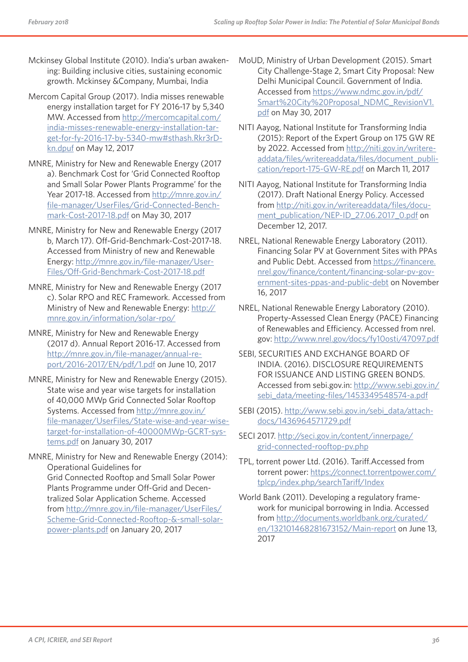- Mckinsey Global Institute (2010). India's urban awakening: Building inclusive cities, sustaining economic growth. Mckinsey &Company, Mumbai, India
- Mercom Capital Group (2017). India misses renewable energy installation target for FY 2016-17 by 5,340 MW. Accessed from http://mercomcapital.com/ india-misses-renewable-energy-installation-target-for-fy-2016-17-by-5340-mw#sthash.Rkr3rDkn.dpuf on May 12, 2017
- MNRE, Ministry for New and Renewable Energy (2017 a). Benchmark Cost for 'Grid Connected Rooftop and Small Solar Power Plants Programme' for the Year 2017-18. Accessed from http://mnre.gov.in/ file-manager/UserFiles/Grid-Connected-Benchmark-Cost-2017-18.pdf on May 30, 2017
- MNRE, Ministry for New and Renewable Energy (2017 b, March 17). Off-Grid-Benchmark-Cost-2017-18. Accessed from Ministry of new and Renewable Energy: http://mnre.gov.in/file-manager/User-Files/Off-Grid-Benchmark-Cost-2017-18.pdf
- MNRE, Ministry for New and Renewable Energy (2017 c). Solar RPO and REC Framework. Accessed from Ministry of New and Renewable Energy: http:// mnre.gov.in/information/solar-rpo/
- MNRE, Ministry for New and Renewable Energy (2017 d). Annual Report 2016-17. Accessed from http://mnre.gov.in/file-manager/annual-report/2016-2017/EN/pdf/1.pdf on June 10, 2017
- MNRE, Ministry for New and Renewable Energy (2015). State wise and year wise targets for installation of 40,000 MWp Grid Connected Solar Rooftop Systems. Accessed from http://mnre.gov.in/ file-manager/UserFiles/State-wise-and-year-wisetarget-for-installation-of-40000MWp-GCRT-systems.pdf on January 30, 2017
- MNRE, Ministry for New and Renewable Energy (2014): Operational Guidelines for Grid Connected Rooftop and Small Solar Power Plants Programme under Off-Grid and Decentralized Solar Application Scheme. Accessed from http://mnre.gov.in/file-manager/UserFiles/ Scheme-Grid-Connected-Rooftop-&-small-solarpower-plants.pdf on January 20, 2017
- MoUD, Ministry of Urban Development (2015). Smart City Challenge-Stage 2, Smart City Proposal: New Delhi Municipal Council. Government of India. Accessed from https://www.ndmc.gov.in/pdf/ Smart%20City%20Proposal\_NDMC\_RevisionV1. pdf on May 30, 2017
- NITI Aayog, National Institute for Transforming India (2015): Report of the Expert Group on 175 GW RE by 2022. Accessed from http://niti.gov.in/writereaddata/files/writereaddata/files/document\_publication/report-175-GW-RE.pdf on March 11, 2017
- NITI Aayog, National Institute for Transforming India (2017). Draft National Energy Policy. Accessed from http://niti.gov.in/writereaddata/files/document\_publication/NEP-ID\_27.06.2017\_0.pdf on December 12, 2017.
- NREL, National Renewable Energy Laboratory (2011). Financing Solar PV at Government Sites with PPAs and Public Debt. Accessed from https://financere. nrel.gov/finance/content/financing-solar-pv-government-sites-ppas-and-public-debt on November 16, 2017
- NREL, National Renewable Energy Laboratory (2010). Property-Assessed Clean Energy (PACE) Financing of Renewables and Efficiency. Accessed from nrel. gov: http://www.nrel.gov/docs/fy10osti/47097.pdf
- SEBI, SECURITIES AND EXCHANGE BOARD OF INDIA. (2016). DISCLOSURE REQUIREMENTS FOR ISSUANCE AND LISTING GREEN BONDS. Accessed from sebi.gov.in: http://www.sebi.gov.in/ sebi\_data/meeting-files/1453349548574-a.pdf
- SEBI (2015). http://www.sebi.gov.in/sebi\_data/attachdocs/1436964571729.pdf
- SECI 2017. http://seci.gov.in/content/innerpage/ grid-connected-rooftop-pv.php
- TPL, torrent power Ltd. (2016). Tariff.Accessed from torrent power: https://connect.torrentpower.com/ tplcp/index.php/searchTariff/Index
- World Bank (2011). Developing a regulatory framework for municipal borrowing in India. Accessed from http://documents.worldbank.org/curated/ en/132101468281673152/Main-report on June 13, 2017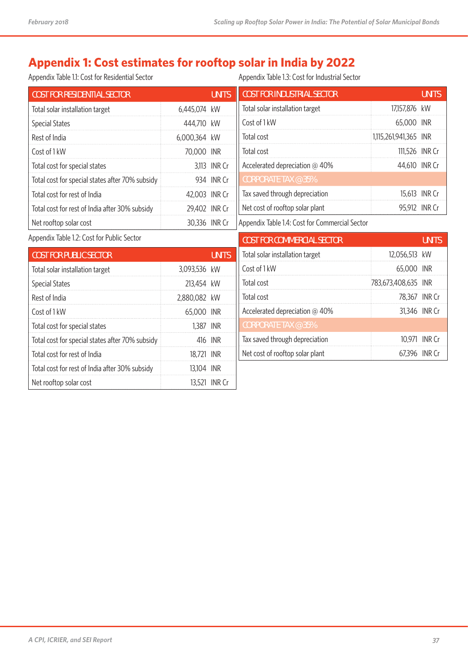## **Appendix 1: Cost estimates for rooftop solar in India by 2022**

Appendix Table 1.1: Cost for Residential Sector

Appendix Table 1.3: Cost for Industrial Sector

| <b>COST FOR RESIDENTIAL SECTOR</b>              |               | <b>UNITS</b> | <b>COST FOR INDUSTRIAL SECTOR</b>              |                       | <b>UNITS</b>  |
|-------------------------------------------------|---------------|--------------|------------------------------------------------|-----------------------|---------------|
| Total solar installation target                 | 6,445,074 kW  |              | Total solar installation target                | 17,157,876 kW         |               |
| <b>Special States</b>                           | 444,710 kW    |              | Cost of 1 kW                                   | 65,000 INR            |               |
| Rest of India                                   | 6,000,364 kW  |              | Total cost                                     | 1,115,261,941,365 INR |               |
| Cost of 1 kW                                    | 70,000 INR    |              | Total cost                                     | 111,526 INR Cr        |               |
| Total cost for special states                   |               | 3,113 INR Cr | Accelerated depreciation @ 40%                 | 44,610 INR Cr         |               |
| Total cost for special states after 70% subsidy |               | 934 INR Cr   | <b>CORPORATE TAX @ 35%</b>                     |                       |               |
| Total cost for rest of India                    | 42,003 INR Cr |              | Tax saved through depreciation                 |                       | 15,613 INR Cr |
| Total cost for rest of India after 30% subsidy  | 29,402 INR Cr |              | Net cost of rooftop solar plant                |                       | 95,912 INR Cr |
| Net rooftop solar cost                          | 30,336 INR Cr |              | Appendix Table 1.4: Cost for Commercial Sector |                       |               |
| Appendix Table 1.2: Cost for Public Sector      |               |              |                                                |                       |               |
|                                                 |               |              | <b>COST FOR COMMERCIAL SECTOR</b>              |                       | <b>UNITS</b>  |
| <b>COST FOR PUBLIC SECTOR</b>                   |               | <b>UNITS</b> | Total solar installation target                | 12,056,513 kW         |               |
| Total solar installation target                 | 3,093,536 kW  |              | Cost of 1 kW                                   | 65,000 INR            |               |
| <b>Special States</b>                           | 213,454 kW    |              | Total cost                                     | 783,673,408,635 INR   |               |
| Rest of India                                   | 2,880,082 kW  |              | Total cost                                     |                       | 78,367 INR Cr |
| Cost of 1 kW                                    | 65,000 INR    |              | Accelerated depreciation @ 40%                 |                       | 31,346 INR Cr |
| Total cost for special states                   | 1,387 INR     |              | <b>CORPORATE TAX @ 35%</b>                     |                       |               |
| Total cost for special states after 70% subsidy |               | 416 INR      | Tax saved through depreciation                 |                       | 10,971 INR Cr |
| Total cost for rest of India                    | 18,721 INR    |              | Net cost of rooftop solar plant                |                       | 67,396 INR Cr |
| Total cost for rest of India after 30% subsidy  | 13,104 INR    |              |                                                |                       |               |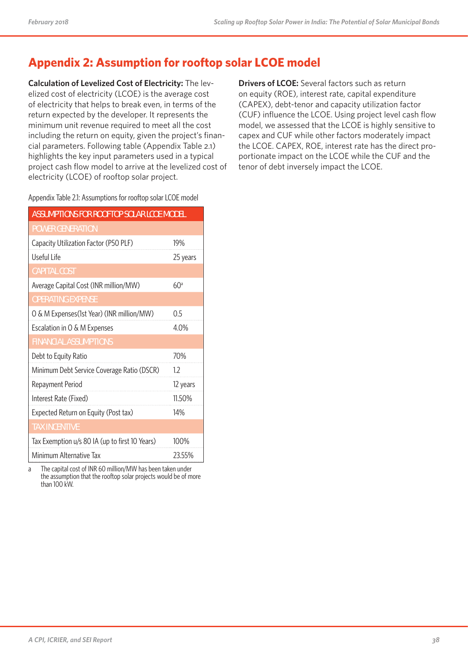## **Appendix 2: Assumption for rooftop solar LCOE model**

**Calculation of Levelized Cost of Electricity:** The levelized cost of electricity (LCOE) is the average cost of electricity that helps to break even, in terms of the return expected by the developer. It represents the minimum unit revenue required to meet all the cost including the return on equity, given the project's financial parameters. Following table (Appendix Table 2.1) highlights the key input parameters used in a typical project cash flow model to arrive at the levelized cost of electricity (LCOE) of rooftop solar project.

**Drivers of LCOE:** Several factors such as return on equity (ROE), interest rate, capital expenditure (CAPEX), debt-tenor and capacity utilization factor (CUF) influence the LCOE. Using project level cash flow model, we assessed that the LCOE is highly sensitive to capex and CUF while other factors moderately impact the LCOE. CAPEX, ROE, interest rate has the direct proportionate impact on the LCOE while the CUF and the tenor of debt inversely impact the LCOE.

|  |  |  |  | Appendix Table 2.1: Assumptions for rooftop solar LCOE model |
|--|--|--|--|--------------------------------------------------------------|
|--|--|--|--|--------------------------------------------------------------|

| <b>ASSUMPTIONS FOR ROOFTOP SOLAR LCOE MODEL</b> |          |  |  |  |
|-------------------------------------------------|----------|--|--|--|
| <b>POWER GENERATION</b>                         |          |  |  |  |
| Capacity Utilization Factor (P50 PLF)           | 19%      |  |  |  |
| Useful Life                                     | 25 years |  |  |  |
| CAPITAL COST                                    |          |  |  |  |
| Average Capital Cost (INR million/MW)           | 60a      |  |  |  |
| <b>OPERATING EXPENSE</b>                        |          |  |  |  |
| O & M Expenses(1st Year) (INR million/MW)       | 0.5      |  |  |  |
| Escalation in O & M Expenses                    | 4.0%     |  |  |  |
| <b>FINANCIAL ASSUMPTIONS</b>                    |          |  |  |  |
| Debt to Equity Ratio                            | 70%      |  |  |  |
| Minimum Debt Service Coverage Ratio (DSCR)      | 1.2      |  |  |  |
| Repayment Period                                | 12 years |  |  |  |
| Interest Rate (Fixed)                           | 11.50%   |  |  |  |
| Expected Return on Equity (Post tax)            | 14%      |  |  |  |
| <b>TAX INCENTIVE</b>                            |          |  |  |  |
| Tax Exemption u/s 80 IA (up to first 10 Years)  | 100%     |  |  |  |
| Minimum Alternative Tax                         | 23.55%   |  |  |  |

a The capital cost of INR 60 million/MW has been taken under the assumption that the rooftop solar projects would be of more than 100 kW.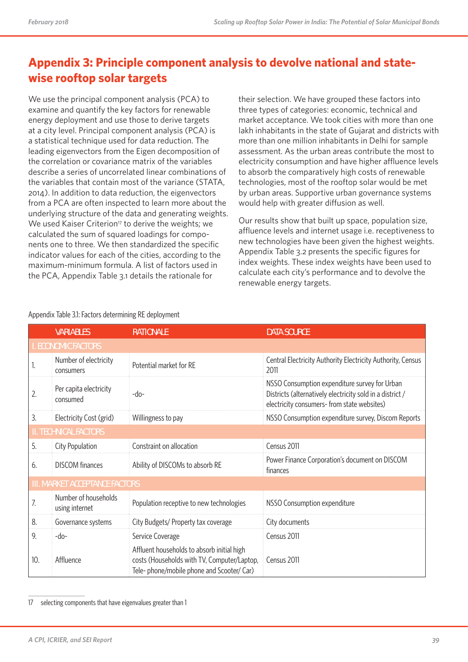## **Appendix 3: Principle component analysis to devolve national and statewise rooftop solar targets**

We use the principal component analysis (PCA) to examine and quantify the key factors for renewable energy deployment and use those to derive targets at a city level. Principal component analysis (PCA) is a statistical technique used for data reduction. The leading eigenvectors from the Eigen decomposition of the correlation or covariance matrix of the variables describe a series of uncorrelated linear combinations of the variables that contain most of the variance (STATA, 2014). In addition to data reduction, the eigenvectors from a PCA are often inspected to learn more about the underlying structure of the data and generating weights. We used Kaiser Criterion<sup>17</sup> to derive the weights; we calculated the sum of squared loadings for components one to three. We then standardized the specific indicator values for each of the cities, according to the maximum-minimum formula. A list of factors used in the PCA, Appendix Table 3.1 details the rationale for

their selection. We have grouped these factors into three types of categories: economic, technical and market acceptance. We took cities with more than one lakh inhabitants in the state of Gujarat and districts with more than one million inhabitants in Delhi for sample assessment. As the urban areas contribute the most to electricity consumption and have higher affluence levels to absorb the comparatively high costs of renewable technologies, most of the rooftop solar would be met by urban areas. Supportive urban governance systems would help with greater diffusion as well.

Our results show that built up space, population size, affluence levels and internet usage i.e. receptiveness to new technologies have been given the highest weights. Appendix Table 3.2 presents the specific figures for index weights. These index weights have been used to calculate each city's performance and to devolve the renewable energy targets.

|                              | <b>VARIABLES</b>                       | <b>RATIONALE</b>                                                                                                                        | <b>DATA SOURCE</b>                                                                                                                                        |  |  |
|------------------------------|----------------------------------------|-----------------------------------------------------------------------------------------------------------------------------------------|-----------------------------------------------------------------------------------------------------------------------------------------------------------|--|--|
|                              | <b>ECONOMIC FACTORS</b>                |                                                                                                                                         |                                                                                                                                                           |  |  |
| ı.                           | Number of electricity<br>consumers     | Potential market for RE                                                                                                                 | Central Electricity Authority Electricity Authority, Census<br>2011                                                                                       |  |  |
| 2.                           | Per capita electricity<br>consumed     | $-do-$                                                                                                                                  | NSSO Consumption expenditure survey for Urban<br>Districts (alternatively electricity sold in a district /<br>electricity consumers- from state websites) |  |  |
| 3.                           | Electricity Cost (grid)                | Willingness to pay                                                                                                                      | NSSO Consumption expenditure survey, Discom Reports                                                                                                       |  |  |
| <b>II. TECHNICAL FACTORS</b> |                                        |                                                                                                                                         |                                                                                                                                                           |  |  |
| 5.                           | City Population                        | Constraint on allocation                                                                                                                | Census 2011                                                                                                                                               |  |  |
| 6.                           | <b>DISCOM</b> finances                 | Ability of DISCOMs to absorb RE                                                                                                         | Power Finance Corporation's document on DISCOM<br>finances                                                                                                |  |  |
|                              | III. MARKET ACCEPTANCE FACTORS         |                                                                                                                                         |                                                                                                                                                           |  |  |
| 7.                           | Number of households<br>using internet | Population receptive to new technologies                                                                                                | NSSO Consumption expenditure                                                                                                                              |  |  |
| 8.                           | Governance systems                     | City Budgets/ Property tax coverage                                                                                                     | City documents                                                                                                                                            |  |  |
| 9.                           | -do-                                   | Service Coverage                                                                                                                        | Census 2011                                                                                                                                               |  |  |
| 10.                          | Affluence                              | Affluent households to absorb initial high<br>costs (Households with TV, Computer/Laptop,<br>Tele- phone/mobile phone and Scooter/ Car) | Census 2011                                                                                                                                               |  |  |

Appendix Table 3.1: Factors determining RE deployment

<sup>17</sup> selecting components that have eigenvalues greater than 1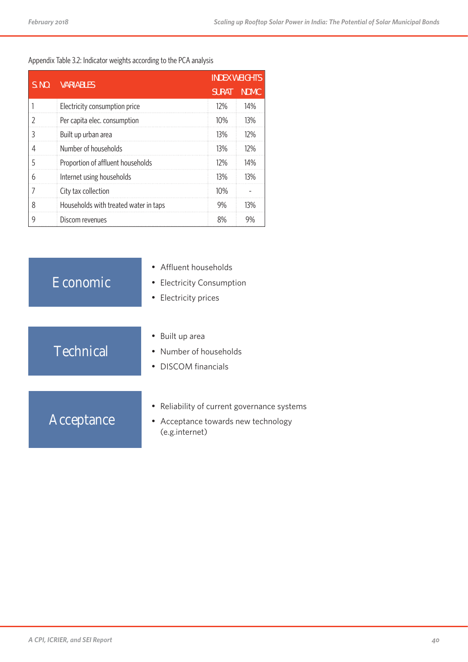#### Appendix Table 3.2: Indicator weights according to the PCA analysis

| S. NO. | <b>VARIABLES</b>                      | <b>INDEX WEIGHTS</b> |             |
|--------|---------------------------------------|----------------------|-------------|
|        |                                       |                      | <b>NDMC</b> |
|        | Electricity consumption price         | 12%                  | 14%         |
|        | Per capita elec. consumption          | 10%                  | 13%         |
| 3      | Built up urban area                   | 13%                  | 12%         |
|        | Number of households                  | 13%                  | 12%         |
| 5      | Proportion of affluent households     | 12%                  | 14%         |
| 6      | Internet using households             | 13%                  | 13%         |
|        | City tax collection                   | 10%                  |             |
| 8      | Households with treated water in taps | 9%                   | 13%         |
| 9      | Discom revenues                       | 8%                   | 9%          |

| Economic         | Affluent households<br><b>Electricity Consumption</b><br>$\bullet$<br>Electricity prices<br>$\bullet$           |
|------------------|-----------------------------------------------------------------------------------------------------------------|
| <b>Technical</b> | Built up area<br>Number of households<br><b>DISCOM</b> financials                                               |
| Acceptance       | • Reliability of current governance systems<br>Acceptance towards new technology<br>$\bullet$<br>(e.g.internet) |